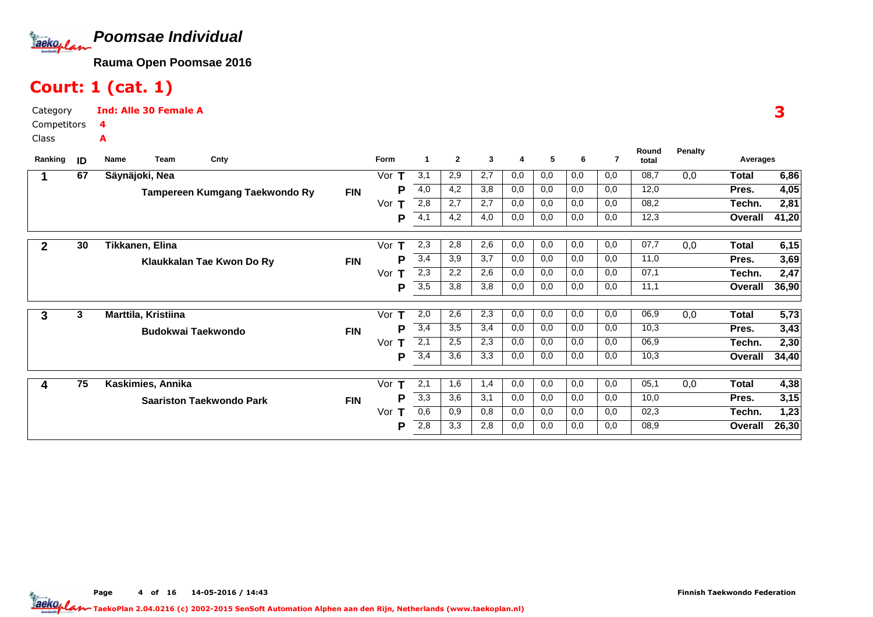

# Court: 1 (cat. 1)

Category CompetitorsInd: Alle 30 Female A4A

Class

| Ranking      | ID | Name                | Team | Cnty                            |            | Form     | -1  | $\mathbf{2}$ | 3   | 4   | 5   | 6   | 7   | Round<br>total | Penalty | Averages     |       |
|--------------|----|---------------------|------|---------------------------------|------------|----------|-----|--------------|-----|-----|-----|-----|-----|----------------|---------|--------------|-------|
|              | 67 | Säynäjoki, Nea      |      |                                 |            | Vor      | 3,1 | 2,9          | 2,7 | 0,0 | 0,0 | 0,0 | 0,0 | 08,7           | 0,0     | <b>Total</b> | 6,86  |
|              |    |                     |      | Tampereen Kumgang Taekwondo Ry  | <b>FIN</b> | Р        | 4,0 | 4,2          | 3,8 | 0,0 | 0,0 | 0,0 | 0,0 | 12,0           |         | Pres.        | 4,05  |
|              |    |                     |      |                                 |            | Vor      | 2,8 | 2,7          | 2,7 | 0,0 | 0,0 | 0,0 | 0,0 | 08,2           |         | Techn.       | 2,81  |
|              |    |                     |      |                                 |            | Р        | 4,1 | 4,2          | 4,0 | 0,0 | 0,0 | 0,0 | 0,0 | 12,3           |         | Overall      | 41,20 |
| $\mathbf{2}$ | 30 | Tikkanen, Elina     |      |                                 |            | т<br>Vor | 2,3 | 2,8          | 2,6 | 0,0 | 0,0 | 0,0 | 0,0 | 07,7           | 0,0     | Total        | 6,15  |
|              |    |                     |      | Klaukkalan Tae Kwon Do Ry       | <b>FIN</b> | P        | 3,4 | 3,9          | 3,7 | 0,0 | 0,0 | 0,0 | 0,0 | 11,0           |         | Pres.        | 3,69  |
|              |    |                     |      |                                 |            | Vor      | 2,3 | 2,2          | 2,6 | 0,0 | 0,0 | 0,0 | 0,0 | 07,1           |         | Techn.       | 2,47  |
|              |    |                     |      |                                 |            | P        | 3,5 | 3,8          | 3,8 | 0,0 | 0,0 | 0,0 | 0,0 | 11,1           |         | Overall      | 36,90 |
| 3            | 3  | Marttila, Kristiina |      |                                 |            | Vor      | 2,0 | 2,6          | 2,3 | 0,0 | 0,0 | 0,0 | 0,0 | 06,9           | 0,0     | Total        | 5,73  |
|              |    |                     |      | <b>Budokwai Taekwondo</b>       | <b>FIN</b> | Р        | 3,4 | 3,5          | 3,4 | 0,0 | 0,0 | 0,0 | 0,0 | 10,3           |         | Pres.        | 3,43  |
|              |    |                     |      |                                 |            | Vor      | 2,1 | 2,5          | 2,3 | 0,0 | 0,0 | 0,0 | 0,0 | 06,9           |         | Techn.       | 2,30  |
|              |    |                     |      |                                 |            | P        | 3,4 | 3,6          | 3,3 | 0,0 | 0,0 | 0,0 | 0,0 | 10,3           |         | Overall      | 34,40 |
|              | 75 | Kaskimies, Annika   |      |                                 |            | Vor      | 2,1 | 1,6          | 1,4 | 0,0 | 0,0 | 0,0 | 0,0 | 05,1           | 0,0     | Total        | 4,38  |
|              |    |                     |      | <b>Saariston Taekwondo Park</b> | <b>FIN</b> | P        | 3,3 | 3,6          | 3,1 | 0,0 | 0,0 | 0,0 | 0,0 | 10,0           |         | Pres.        | 3,15  |
|              |    |                     |      |                                 |            | Vor      | 0,6 | 0,9          | 0,8 | 0,0 | 0,0 | 0,0 | 0,0 | 02,3           |         | Techn.       | 1,23  |
|              |    |                     |      |                                 |            | P        | 2,8 | 3,3          | 2,8 | 0,0 | 0,0 | 0,0 | 0,0 | 08,9           |         | Overall      | 26,30 |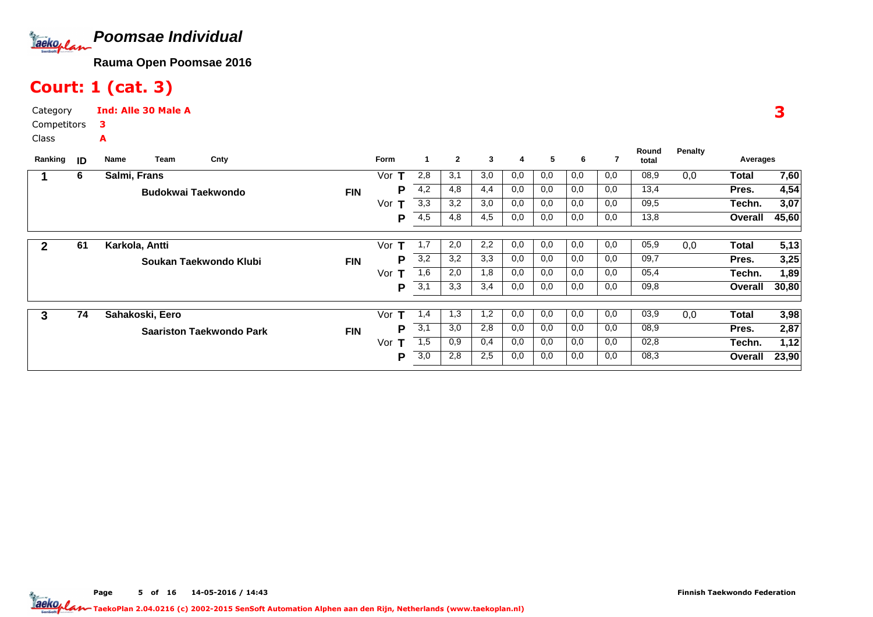

# Court: 1 (cat. 3)

Category CompetitorsClassInd: Alle 30 Male A3A

|         |    |                           |                                 |            |             |     |              |     |     |     |     |     | Round | <b>Penalty</b> |          |       |
|---------|----|---------------------------|---------------------------------|------------|-------------|-----|--------------|-----|-----|-----|-----|-----|-------|----------------|----------|-------|
| Ranking | ID | Team<br>Name              | Cnty                            |            | <b>Form</b> | 1   | $\mathbf{2}$ | 3   | 4   | 5   | 6   | 7   | total |                | Averages |       |
|         | 6  | Salmi, Frans              |                                 |            | Vor         | 2,8 | 3,1          | 3,0 | 0,0 | 0,0 | 0,0 | 0,0 | 08,9  | 0,0            | Total    | 7,60  |
|         |    | <b>Budokwai Taekwondo</b> |                                 | <b>FIN</b> | Р           | 4,2 | 4,8          | 4,4 | 0,0 | 0,0 | 0,0 | 0,0 | 13,4  |                | Pres.    | 4,54  |
|         |    |                           |                                 |            | Vor<br>т    | 3,3 | 3,2          | 3,0 | 0,0 | 0,0 | 0,0 | 0,0 | 09,5  |                | Techn.   | 3,07  |
|         |    |                           |                                 |            | P           | 4,5 | 4,8          | 4,5 | 0,0 | 0,0 | 0,0 | 0,0 | 13,8  |                | Overall  | 45,60 |
|         |    |                           |                                 |            |             |     |              |     |     |     |     |     |       |                |          |       |
| 2       | 61 | Karkola, Antti            |                                 |            | Vor<br>т    | 1,7 | 2,0          | 2,2 | 0,0 | 0,0 | 0,0 | 0,0 | 05,9  | 0,0            | Total    | 5,13  |
|         |    |                           | Soukan Taekwondo Klubi          | <b>FIN</b> | Р           | 3,2 | 3,2          | 3,3 | 0,0 | 0,0 | 0,0 | 0,0 | 09,7  |                | Pres.    | 3,25  |
|         |    |                           |                                 |            | Vor<br>т    | 1,6 | 2,0          | 1,8 | 0,0 | 0,0 | 0,0 | 0,0 | 05,4  |                | Techn.   | 1,89  |
|         |    |                           |                                 |            | P           | 3,1 | 3,3          | 3,4 | 0,0 | 0,0 | 0,0 | 0,0 | 09,8  |                | Overall  | 30,80 |
|         |    |                           |                                 |            |             |     |              |     |     |     |     |     |       |                |          |       |
| 3       | 74 | Sahakoski, Eero           |                                 |            | Vor<br>т    | 1,4 | 1.3          | 1,2 | 0,0 | 0,0 | 0,0 | 0,0 | 03,9  | 0,0            | Total    | 3,98  |
|         |    |                           | <b>Saariston Taekwondo Park</b> | <b>FIN</b> | Р           | 3,1 | 3,0          | 2,8 | 0,0 | 0,0 | 0,0 | 0,0 | 08,9  |                | Pres.    | 2,87  |
|         |    |                           |                                 |            | Vor<br>т    | 1,5 | 0.9          | 0,4 | 0,0 | 0,0 | 0,0 | 0,0 | 02,8  |                | Techn.   | 1,12  |
|         |    |                           |                                 |            | P           | 3,0 | 2,8          | 2,5 | 0,0 | 0,0 | 0,0 | 0,0 | 08,3  |                | Overall  | 23,90 |
|         |    |                           |                                 |            |             |     |              |     |     |     |     |     |       |                |          |       |

3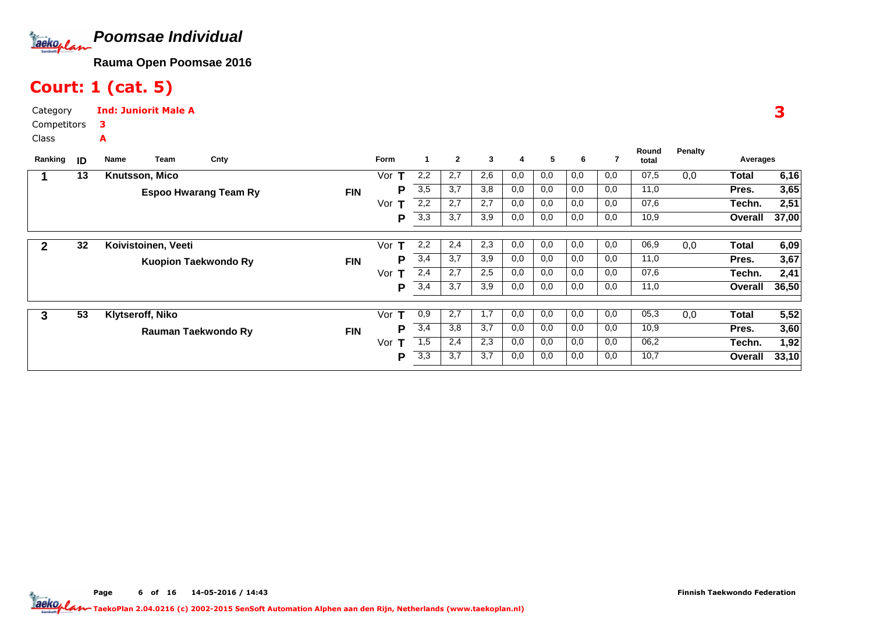

# Court: 1 (cat. 5)

Category CompetitorsClassInd: Juniorit Male A3A

|         |    |                             |                              |            |          |     |              |     |     |     |     |     | Round | <b>Penalty</b> |          |       |
|---------|----|-----------------------------|------------------------------|------------|----------|-----|--------------|-----|-----|-----|-----|-----|-------|----------------|----------|-------|
| Ranking | ID | Team<br>Name                | Cnty                         |            | Form     |     | $\mathbf{2}$ | 3   | 4   | 5   | 6   |     | total |                | Averages |       |
|         | 13 | <b>Knutsson, Mico</b>       |                              |            | Vor<br>т | 2,2 | 2,7          | 2,6 | 0,0 | 0,0 | 0,0 | 0,0 | 07,5  | 0,0            | Total    | 6,16  |
|         |    |                             | <b>Espoo Hwarang Team Ry</b> | <b>FIN</b> | Р        | 3,5 | 3,7          | 3,8 | 0,0 | 0,0 | 0,0 | 0,0 | 11,0  |                | Pres.    | 3,65  |
|         |    |                             |                              |            | Vor<br>т | 2,2 | 2,7          | 2,7 | 0,0 | 0,0 | 0,0 | 0,0 | 07,6  |                | Techn.   | 2,51  |
|         |    |                             |                              |            | P        | 3,3 | 3,7          | 3,9 | 0,0 | 0,0 | 0,0 | 0,0 | 10,9  |                | Overall  | 37,00 |
|         |    |                             |                              |            |          |     |              |     |     |     |     |     |       |                |          |       |
| 2       | 32 | Koivistoinen, Veeti         |                              |            | Vor<br>т | 2,2 | 2,4          | 2,3 | 0,0 | 0,0 | 0,0 | 0,0 | 06,9  | 0,0            | Total    | 6,09  |
|         |    | <b>Kuopion Taekwondo Ry</b> |                              | <b>FIN</b> | Р        | 3,4 | 3,7          | 3,9 | 0,0 | 0,0 | 0,0 | 0,0 | 11,0  |                | Pres.    | 3,67  |
|         |    |                             |                              |            | Vor<br>т | 2,4 | 2,7          | 2,5 | 0,0 | 0,0 | 0,0 | 0,0 | 07,6  |                | Techn.   | 2,41  |
|         |    |                             |                              |            | P        | 3,4 | 3,7          | 3,9 | 0,0 | 0,0 | 0,0 | 0,0 | 11,0  |                | Overall  | 36,50 |
|         |    |                             |                              |            |          |     |              |     |     |     |     |     |       |                |          |       |
| 3       | 53 | Klytseroff, Niko            |                              |            | Vor<br>т | 0,9 | 2,7          | 1,7 | 0,0 | 0,0 | 0,0 | 0,0 | 05,3  | 0,0            | Total    | 5,52  |
|         |    | Rauman Taekwondo Ry         |                              | <b>FIN</b> | Р        | 3,4 | 3,8          | 3,7 | 0,0 | 0,0 | 0,0 | 0,0 | 10,9  |                | Pres.    | 3,60  |
|         |    |                             |                              |            | Vor<br>т | 1,5 | 2,4          | 2,3 | 0,0 | 0,0 | 0,0 | 0,0 | 06,2  |                | Techn.   | 1,92  |
|         |    |                             |                              |            | Р        | 3,3 | 3,7          | 3,7 | 0,0 | 0,0 | 0,0 | 0,0 | 10,7  |                | Overall  | 33,10 |
|         |    |                             |                              |            |          |     |              |     |     |     |     |     |       |                |          |       |

3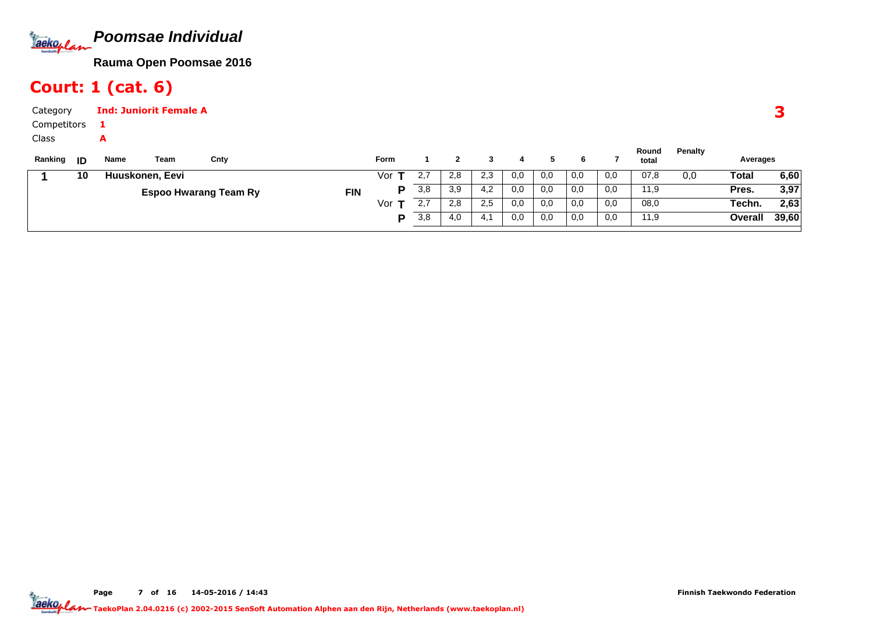

# Court: 1 (cat. 6)

| Category     |      | <b>Ind: Juniorit Female A</b> |      |      |                   |             |         |          |     |        |        |        |        |                |         |                        |      |
|--------------|------|-------------------------------|------|------|-------------------|-------------|---------|----------|-----|--------|--------|--------|--------|----------------|---------|------------------------|------|
| Competitors  |      |                               |      |      |                   |             |         |          |     |        |        |        |        |                |         |                        |      |
| <b>Class</b> |      | A                             |      |      |                   |             |         |          |     |        |        |        |        |                |         |                        |      |
| Ranking      | - ID | Name                          | Team | Cnty |                   | <b>Form</b> |         |          |     |        |        | 6      |        | Round<br>total | Penalty | Averages               |      |
|              | 10   | Huuskonen, Eevi               |      |      |                   | Vor         | 2,7     | 2,8      | 2,3 | 0,0    | 0,0    | 0,0    | 0,0    | 07,8           | 0,0     | Total                  | 6,60 |
|              |      |                               |      |      | <b>CONTRACTOR</b> | D.          | $\circ$ | $\Omega$ | 1 O | $\cap$ | $\cap$ | $\cap$ | $\cap$ | 11 O           |         | <b>D</b> <sub>22</sub> | בח פ |

| 10 | Huuskonen, Eevi                            | Vor | $\sim$ $\sim$<br>ے ۔  | റ റ<br>Z.O      | 2,3                  | 0,0 | 0,0 | 0,0 | 0,0 | 07,8 | 0,0 | Total   | 6,60  |
|----|--------------------------------------------|-----|-----------------------|-----------------|----------------------|-----|-----|-----|-----|------|-----|---------|-------|
|    | <b>FIN</b><br><b>Espoo Hwarang Team Ry</b> |     | 3,8                   | 3 Q<br>.ບອ      | 4,2                  | 0,0 | 0,0 | 0,0 | 0,0 | 11,9 |     | Pres.   | 3,97  |
|    |                                            | Vor | $\sim$ $\sim$<br>د. ۷ | $\Omega$<br>Z.O | 2,5                  | 0,0 | 0,0 | 0,0 | 0,0 | 08,0 |     | Techn.  | 2,63  |
|    |                                            |     | 3,8                   | 4,0             | $\overline{A}$<br>4. | 0,0 | 0,0 | 0,0 | 0,0 | 11,9 |     | Overall | 39,60 |

Page 7 of 16 14-05-2016 / 14:43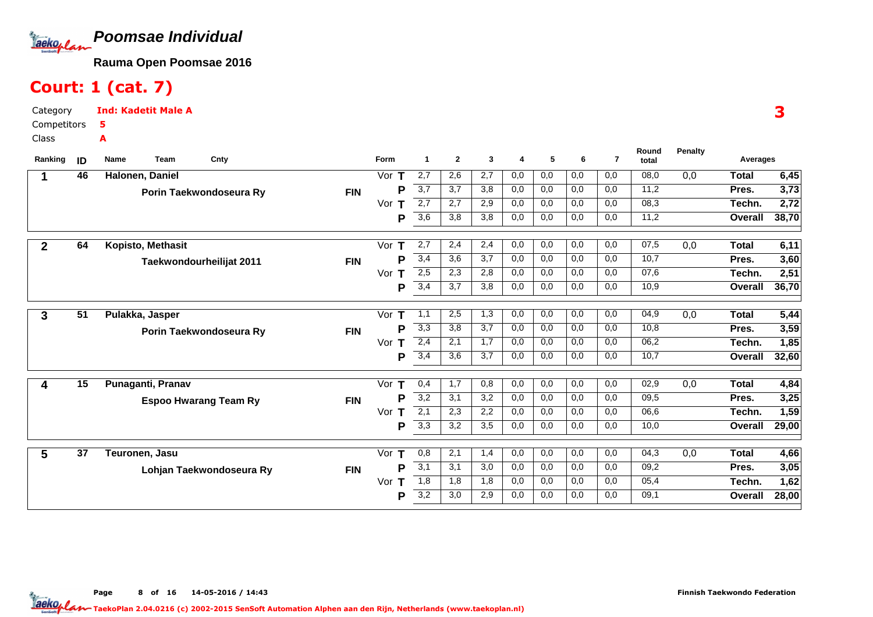

# Court: 1 (cat. 7)

Category CompetitorsClassInd: Kadetit Male A5A

| Ranking      | ID              | Name<br>Cnty<br>Team         |            | Form               | 1                | $\mathbf{2}$ | 3   | 4   | 5   | 6   | $\overline{7}$ | Round<br>total | <b>Penalty</b> | Averages     |       |
|--------------|-----------------|------------------------------|------------|--------------------|------------------|--------------|-----|-----|-----|-----|----------------|----------------|----------------|--------------|-------|
|              | 46              | Halonen, Daniel              |            | Vor $T$            | 2,7              | 2,6          | 2,7 | 0,0 | 0,0 | 0,0 | 0,0            | 08,0           | 0,0            | Total        | 6,45  |
|              |                 | Porin Taekwondoseura Ry      | <b>FIN</b> | P                  | $\overline{3,7}$ | 3,7          | 3,8 | 0,0 | 0,0 | 0,0 | 0,0            | 11,2           |                | Pres.        | 3,73  |
|              |                 |                              |            | Vor<br>т           | 2,7              | 2,7          | 2,9 | 0,0 | 0,0 | 0,0 | 0,0            | 08,3           |                | Techn.       | 2,72  |
|              |                 |                              |            | P                  | 3,6              | 3,8          | 3,8 | 0,0 | 0,0 | 0,0 | 0,0            | 11,2           |                | Overall      | 38,70 |
| $\mathbf{2}$ | 64              | Kopisto, Methasit            |            | Vor $T$            | 2,7              | 2,4          | 2,4 | 0,0 | 0,0 | 0,0 | 0,0            | 07,5           | 0,0            | <b>Total</b> | 6,11  |
|              |                 | Taekwondourheilijat 2011     | <b>FIN</b> | Р                  | 3,4              | 3,6          | 3,7 | 0,0 | 0,0 | 0,0 | 0,0            | 10,7           |                | Pres.        | 3,60  |
|              |                 |                              |            | Vor<br>T           | 2,5              | 2,3          | 2,8 | 0,0 | 0,0 | 0,0 | 0,0            | 07,6           |                | Techn.       | 2,51  |
|              |                 |                              |            | P                  | 3,4              | 3,7          | 3,8 | 0,0 | 0,0 | 0,0 | 0,0            | 10,9           |                | Overall      | 36,70 |
| 3            | $\overline{51}$ | Pulakka, Jasper              |            | Vor $T$            | 1,1              | 2,5          | 1,3 | 0,0 | 0,0 | 0,0 | 0,0            | 04,9           | 0,0            | Total        | 5,44  |
|              |                 | Porin Taekwondoseura Ry      | <b>FIN</b> | P                  | 3,3              | 3,8          | 3,7 | 0,0 | 0,0 | 0,0 | 0,0            | 10,8           |                | Pres.        | 3,59  |
|              |                 |                              |            | Vor<br>$\mathbf T$ | 2,4              | 2,1          | 1,7 | 0,0 | 0,0 | 0,0 | 0,0            | 06,2           |                | Techn.       | 1,85  |
|              |                 |                              |            | P                  | 3,4              | 3,6          | 3,7 | 0,0 | 0,0 | 0,0 | 0,0            | 10,7           |                | Overall      | 32,60 |
| 4            | 15              | Punaganti, Pranav            |            | Vor $T$            | 0,4              | 1,7          | 0,8 | 0,0 | 0,0 | 0,0 | 0,0            | 02,9           | 0,0            | Total        | 4,84  |
|              |                 | <b>Espoo Hwarang Team Ry</b> | <b>FIN</b> | P                  | $\overline{3,2}$ | 3,1          | 3,2 | 0,0 | 0,0 | 0,0 | 0,0            | 09,5           |                | Pres.        | 3,25  |
|              |                 |                              |            | Vor<br>т           | 2,1              | 2,3          | 2,2 | 0,0 | 0,0 | 0,0 | 0,0            | 06,6           |                | Techn.       | 1,59  |
|              |                 |                              |            | P                  | $\overline{3,3}$ | 3,2          | 3,5 | 0,0 | 0,0 | 0,0 | 0,0            | 10,0           |                | Overall      | 29,00 |
| 5            | 37              | Teuronen, Jasu               |            | Vor $T$            | 0,8              | 2,1          | 1,4 | 0,0 | 0,0 | 0,0 | 0,0            | 04,3           | 0,0            | Total        | 4,66  |
|              |                 | Lohjan Taekwondoseura Ry     | <b>FIN</b> | P                  | 3,1              | 3,1          | 3,0 | 0,0 | 0,0 | 0,0 | 0,0            | 09,2           |                | Pres.        | 3,05  |
|              |                 |                              |            | Vor<br>т           | 1,8              | 1,8          | 1,8 | 0,0 | 0,0 | 0,0 | 0,0            | 05,4           |                | Techn.       | 1,62  |
|              |                 |                              |            | Р                  | 3,2              | 3,0          | 2,9 | 0,0 | 0,0 | 0,0 | 0,0            | 09,1           |                | Overall      | 28,00 |

3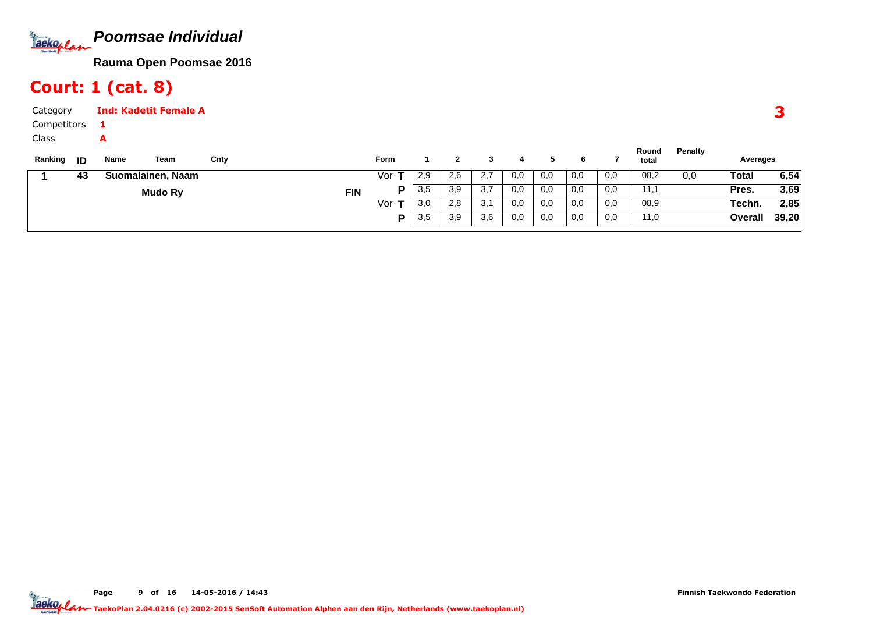

# Court: 1 (cat. 8)

| Category<br>Competitors |    |           | <b>Ind: Kadetit Female A</b> |      |            |             |     |     |     |     |     |     |     |                |         |          |       |
|-------------------------|----|-----------|------------------------------|------|------------|-------------|-----|-----|-----|-----|-----|-----|-----|----------------|---------|----------|-------|
| Class<br>Ranking        | ID | A<br>Name | Team                         | Cnty |            | <b>Form</b> |     |     |     | 4   |     | 6   |     | Round<br>total | Penalty | Averages |       |
|                         | 43 |           | Suomalainen, Naam            |      |            | Vor         | 2,9 | 2,6 | 2,7 | 0,0 | 0,0 | 0,0 | 0,0 | 08,2           | 0,0     | Total    | 6,54  |
|                         |    |           | <b>Mudo Ry</b>               |      | <b>FIN</b> | P           | 3,5 | 3,9 | 3,7 | 0,0 | 0,0 | 0,0 | 0,0 | 11,1           |         | Pres.    | 3,69  |
|                         |    |           |                              |      |            | Vor $T$     | 3,0 | 2,8 | 3,1 | 0,0 | 0,0 | 0,0 | 0,0 | 08,9           |         | Techn.   | 2,85  |
|                         |    |           |                              |      |            | D           | 3,5 | 3,9 | 3,6 | 0,0 | 0,0 | 0,0 | 0,0 | 11,0           |         | Overall  | 39,20 |

Page 9 of 16 14-05-2016 / 14:43 9 of 16 14-05-2016 / 14:4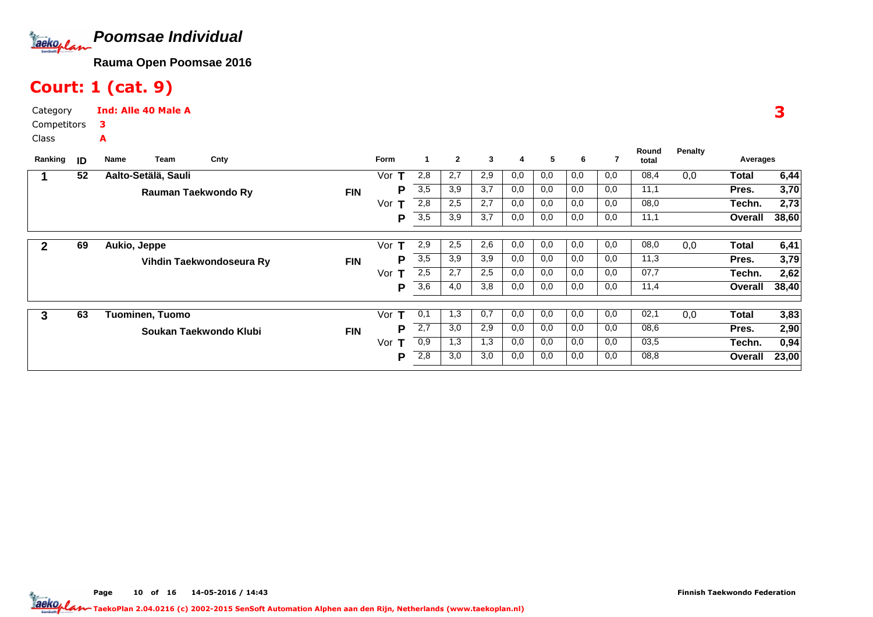

# Court: 1 (cat. 9)

Category CompetitorsClassInd: Alle 40 Male A3A

| Ranking | ID | Team<br>Name           | Cnty                     |            | <b>Form</b> |     | $\mathbf{2}$ | 3   | 4   | 5   | 6   |     | Round<br>total | <b>Penalty</b> | Averages |       |
|---------|----|------------------------|--------------------------|------------|-------------|-----|--------------|-----|-----|-----|-----|-----|----------------|----------------|----------|-------|
|         | 52 | Aalto-Setälä, Sauli    |                          |            | Vor<br>т    | 2,8 | 2,7          | 2,9 | 0,0 | 0,0 | 0,0 | 0,0 | 08,4           | 0,0            | Total    | 6,44  |
|         |    | Rauman Taekwondo Ry    |                          | <b>FIN</b> | Р           | 3,5 | 3,9          | 3,7 | 0,0 | 0,0 | 0,0 | 0,0 | 11,1           |                | Pres.    | 3,70  |
|         |    |                        |                          |            | Vor         | 2,8 | 2,5          | 2,7 | 0,0 | 0,0 | 0,0 | 0,0 | 08,0           |                | Techn.   | 2,73  |
|         |    |                        |                          |            | P           | 3,5 | 3,9          | 3,7 | 0,0 | 0,0 | 0,0 | 0,0 | 11,1           |                | Overall  | 38,60 |
|         |    |                        |                          |            |             |     |              |     |     |     |     |     |                |                |          |       |
| 2       | 69 | Aukio, Jeppe           |                          |            | Vor<br>т    | 2,9 | 2,5          | 2,6 | 0,0 | 0,0 | 0,0 | 0,0 | 08,0           | 0,0            | Total    | 6,41  |
|         |    |                        | Vihdin Taekwondoseura Ry | <b>FIN</b> | Р           | 3,5 | 3,9          | 3,9 | 0,0 | 0,0 | 0,0 | 0,0 | 11,3           |                | Pres.    | 3,79  |
|         |    |                        |                          |            | Vor<br>т    | 2,5 | 2,7          | 2,5 | 0,0 | 0,0 | 0,0 | 0,0 | 07,7           |                | Techn.   | 2,62  |
|         |    |                        |                          |            | Р           | 3,6 | 4,0          | 3,8 | 0,0 | 0,0 | 0,0 | 0,0 | 11,4           |                | Overall  | 38,40 |
|         |    |                        |                          |            |             |     |              |     |     |     |     |     |                |                |          |       |
| 3       | 63 | Tuominen, Tuomo        |                          |            | т<br>Vor    | 0,1 | 1,3          | 0,7 | 0,0 | 0,0 | 0,0 | 0,0 | 02,1           | 0,0            | Total    | 3,83  |
|         |    | Soukan Taekwondo Klubi |                          | <b>FIN</b> | P           | 2,7 | 3,0          | 2,9 | 0,0 | 0,0 | 0,0 | 0,0 | 08,6           |                | Pres.    | 2,90  |
|         |    |                        |                          |            | Vor<br>т    | 0,9 | 1,3          | 1,3 | 0,0 | 0,0 | 0,0 | 0,0 | 03,5           |                | Techn.   | 0,94  |
|         |    |                        |                          |            | Р           | 2,8 | 3,0          | 3,0 | 0,0 | 0,0 | 0,0 | 0,0 | 08,8           |                | Overall  | 23,00 |

3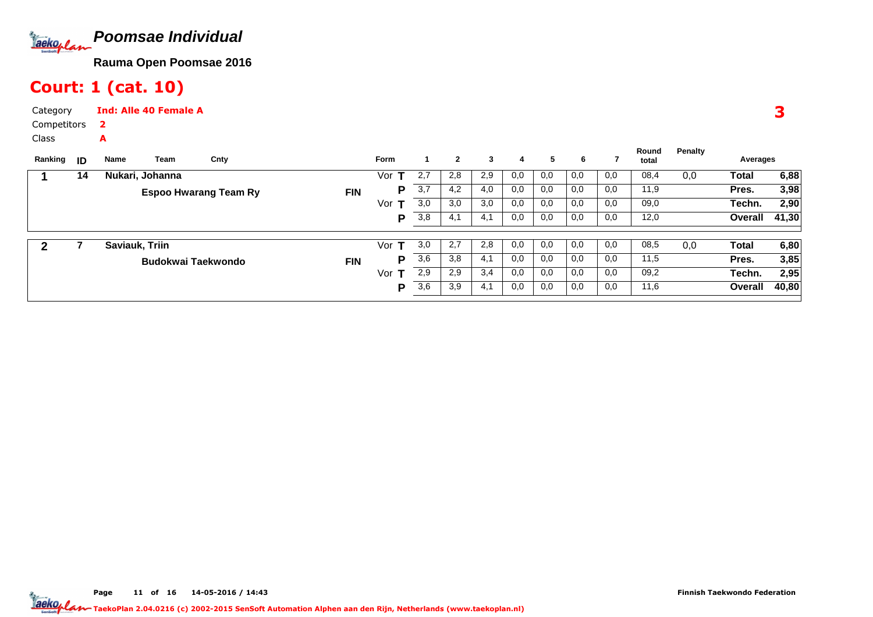

# Court: 1 (cat. 10)

A

Category CompetitorsInd: Alle 40 Female A2

Class

| ID | Name | Cnty                                      |                                                    | Form |                  | $\mathbf{2}$ | 3   | 4   | 5   | 6   |     | Round<br>total | Penalty |         |                   |
|----|------|-------------------------------------------|----------------------------------------------------|------|------------------|--------------|-----|-----|-----|-----|-----|----------------|---------|---------|-------------------|
| 14 |      |                                           |                                                    | Vor  | 2,7              | 2,8          | 2,9 | 0,0 | 0,0 | 0,0 | 0,0 | 08,4           | 0,0     | Total   | 6,88              |
|    |      |                                           | <b>FIN</b>                                         | D    | $\overline{3,7}$ | 4,2          | 4,0 | 0,0 | 0,0 | 0,0 | 0,0 | 11,9           |         | Pres.   | 3,98              |
|    |      |                                           |                                                    | Vor  | 3,0              | 3,0          | 3,0 | 0,0 | 0,0 | 0,0 | 0,0 | 09,0           |         | Techn.  | 2,90              |
|    |      |                                           |                                                    | D    | 3,8              | 4.1          | 4,1 | 0,0 | 0,0 | 0,0 | 0,0 | 12,0           |         | Overall | 41,30             |
|    |      |                                           |                                                    |      |                  |              |     |     |     |     |     |                |         |         |                   |
|    |      |                                           |                                                    |      |                  |              |     |     |     |     |     |                |         |         | 6,80              |
|    |      |                                           | <b>FIN</b>                                         | P    | 3,6              | 3,8          | 4,1 | 0,0 | 0,0 | 0,0 | 0,0 | 11,5           |         | Pres.   | 3,85              |
|    |      |                                           |                                                    | Vor  | 2,9              | 2,9          | 3,4 | 0,0 | 0,0 | 0,0 | 0,0 | 09,2           |         | Techn.  | 2,95              |
|    |      |                                           |                                                    | P    | 3,6              | 3,9          | 4,1 | 0,0 | 0,0 | 0,0 | 0,0 | 11,6           |         | Overall | 40,80             |
|    |      | Team<br>Nukari, Johanna<br>Saviauk, Triin | <b>Espoo Hwarang Team Ry</b><br>Budokwai Taekwondo |      | Vor              | 3,0          | 2,7 | 2,8 | 0,0 | 0,0 | 0,0 | 0,0            | 08,5    | 0,0     | Averages<br>Total |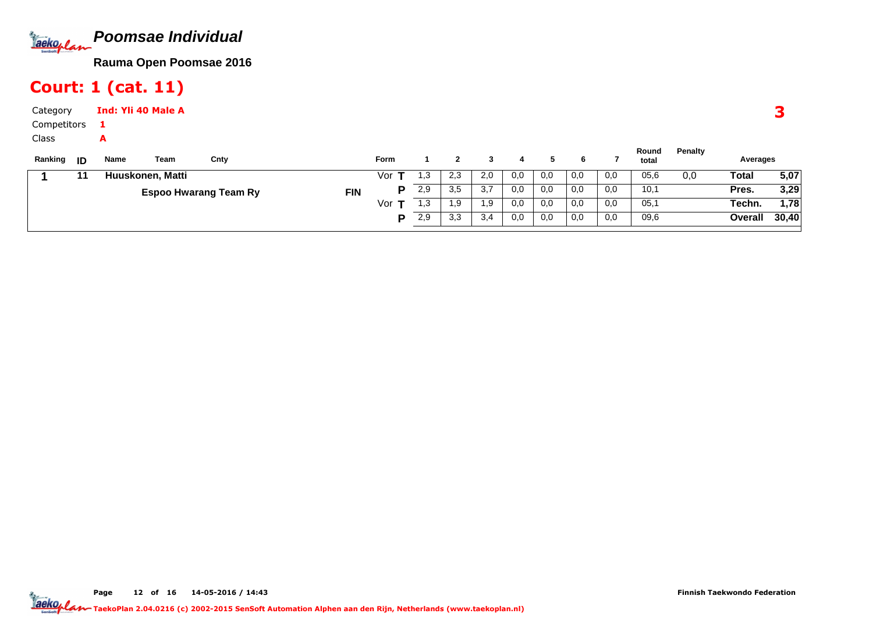

# Court: 1 (cat. 11)

| Category      | Ind: Yli 40 Male A |
|---------------|--------------------|
| Competitors 1 |                    |
| Class         |                    |

| Ranking | - ID | Name | Team             | Cnty                         |            | Form |      |             |     |     |     |     |     | Round<br>total | Penalty | Averages |       |
|---------|------|------|------------------|------------------------------|------------|------|------|-------------|-----|-----|-----|-----|-----|----------------|---------|----------|-------|
|         |      |      | Huuskonen, Matti |                              |            | Vor  | ،,3  | د.∠         | 2,0 | 0,0 | 0,0 | 0,0 | 0,0 | 05,6           | 0,0     | Total    | 5,07  |
|         |      |      |                  | <b>Espoo Hwarang Team Ry</b> | <b>FIN</b> |      | 2,9  | つに<br>.ບ    | 3,7 | 0,0 | 0,0 | 0,0 | 0,0 | 10,1           |         | Pres.    | 3,29  |
|         |      |      |                  |                              |            | Vor  | 3. ا | 9. ا        | 1.9 | 0.0 | 0,0 | 0,0 | 0,0 | 05,1           |         | Techn.   | 1,78  |
|         |      |      |                  |                              |            |      | 2,9  | າ າ<br>ن.رت | 3,4 | 0.0 | 0,0 | 0,0 | 0,0 | 09,6           |         | Overall  | 30,40 |
|         |      |      |                  |                              |            |      |      |             |     |     |     |     |     |                |         |          |       |

Page 12 of 16 14-05-2016 / 14:43 12 of 16 14-05-2016 / 14:4

3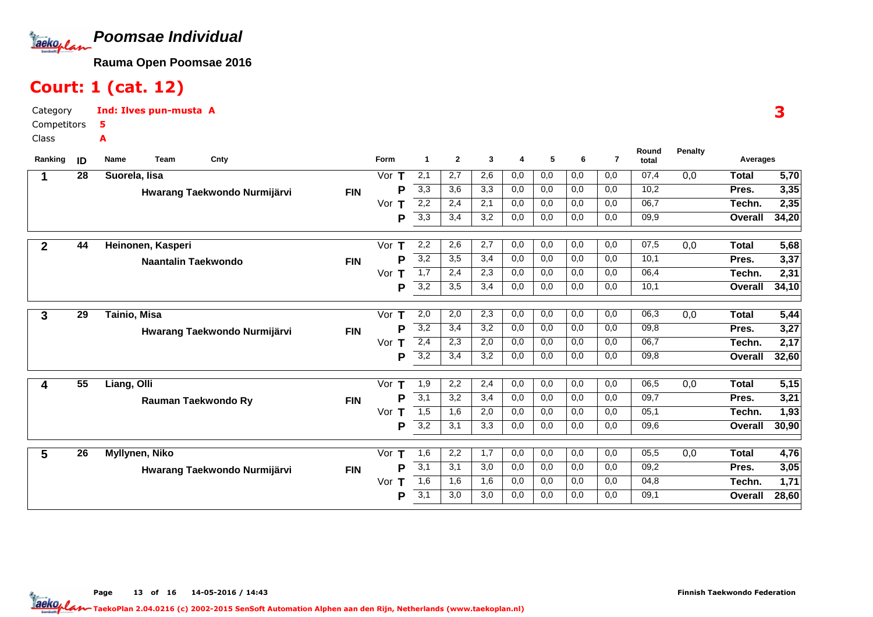

## Court: 1 (cat. 12)

Category CompetitorsInd: Ilves pun-musta A5A

Class

| Ranking        | ID              | Cnty<br>Name<br>Team         |            | <b>Form</b> | -1               | $\overline{2}$ | 3   | 4   | 5   | 6   | $\overline{7}$ | Round<br>total | Penalty | Averages     |                   |
|----------------|-----------------|------------------------------|------------|-------------|------------------|----------------|-----|-----|-----|-----|----------------|----------------|---------|--------------|-------------------|
|                | 28              | Suorela, lisa                |            | Vor $T$     | 2,1              | 2,7            | 2,6 | 0,0 | 0,0 | 0,0 | 0,0            | 07,4           | 0,0     | <b>Total</b> | $\overline{5,70}$ |
|                |                 | Hwarang Taekwondo Nurmijärvi | <b>FIN</b> | P           | 3,3              | 3,6            | 3,3 | 0,0 | 0,0 | 0,0 | 0,0            | 10,2           |         | Pres.        | 3,35              |
|                |                 |                              |            | Vor<br>Т    | 2,2              | 2,4            | 2,1 | 0,0 | 0,0 | 0,0 | 0,0            | 06,7           |         | Techn.       | 2,35              |
|                |                 |                              |            | Р           | 3,3              | 3,4            | 3,2 | 0,0 | 0,0 | 0,0 | 0,0            | 09,9           |         | Overall      | 34,20             |
| $\overline{2}$ | 44              | Heinonen, Kasperi            |            | Vor<br>т    | 2,2              | 2,6            | 2,7 | 0,0 | 0,0 | 0,0 | 0,0            | 07,5           | 0,0     | <b>Total</b> | 5,68              |
|                |                 | <b>Naantalin Taekwondo</b>   | <b>FIN</b> | P           | 3,2              | 3,5            | 3,4 | 0,0 | 0,0 | 0,0 | 0,0            | 10,1           |         | Pres.        | 3,37              |
|                |                 |                              |            | Vor<br>Т    | $\overline{1,7}$ | 2,4            | 2,3 | 0,0 | 0,0 | 0,0 | 0,0            | 06,4           |         | Techn.       | 2,31              |
|                |                 |                              |            | Р           | 3,2              | 3,5            | 3,4 | 0,0 | 0,0 | 0,0 | 0,0            | 10,1           |         | Overall      | 34,10             |
| 3              | $\overline{29}$ | Tainio, Misa                 |            | Vor<br>т    | 2,0              | 2,0            | 2,3 | 0,0 | 0,0 | 0,0 | 0,0            | 06,3           | 0,0     | <b>Total</b> | 5,44              |
|                |                 | Hwarang Taekwondo Nurmijärvi | <b>FIN</b> | P           | 3,2              | 3,4            | 3,2 | 0,0 | 0,0 | 0,0 | 0,0            | 09,8           |         | Pres.        | 3,27              |
|                |                 |                              |            | Vor<br>т    | 2,4              | 2,3            | 2,0 | 0,0 | 0,0 | 0,0 | 0,0            | 06,7           |         | Techn.       | 2,17              |
|                |                 |                              |            | Ρ           | 3,2              | 3,4            | 3,2 | 0,0 | 0,0 | 0,0 | 0,0            | 09,8           |         | Overall      | 32,60             |
| 4              | 55              | Liang, Olli                  |            | т<br>Vor    | 1,9              | 2,2            | 2,4 | 0,0 | 0,0 | 0,0 | 0,0            | 06,5           | 0,0     | <b>Total</b> | 5,15              |
|                |                 | Rauman Taekwondo Ry          | <b>FIN</b> | P           | 3,1              | 3,2            | 3,4 | 0,0 | 0,0 | 0,0 | 0,0            | 09,7           |         | Pres.        | 3,21              |
|                |                 |                              |            | Vor<br>т    | 1,5              | 1,6            | 2,0 | 0,0 | 0,0 | 0,0 | 0,0            | 05,1           |         | Techn.       | 1,93              |
|                |                 |                              |            | Ρ           | $\overline{3,2}$ | 3,1            | 3,3 | 0,0 | 0,0 | 0,0 | 0,0            | 09,6           |         | Overall      | 30,90             |
| 5              | $\overline{26}$ | Myllynen, Niko               |            | Vor<br>Т    | 1,6              | 2,2            | 1,7 | 0,0 | 0,0 | 0,0 | 0,0            | 05,5           | 0,0     | <b>Total</b> | 4,76              |
|                |                 | Hwarang Taekwondo Nurmijärvi | <b>FIN</b> | P           | 3,1              | 3,1            | 3,0 | 0,0 | 0,0 | 0,0 | 0,0            | 09,2           |         | Pres.        | 3,05              |
|                |                 |                              |            | Vor<br>т    | 1,6              | 1,6            | 1,6 | 0,0 | 0,0 | 0,0 | 0,0            | 04,8           |         | Techn.       | 1,71              |
|                |                 |                              |            | Р           | 3,1              | 3,0            | 3,0 | 0,0 | 0,0 | 0,0 | 0,0            | 09,1           |         | Overall      | 28,60             |

Page 13 of 16 14-05-2016 / 14:43 13 of 16 14-05-2016 / 14:4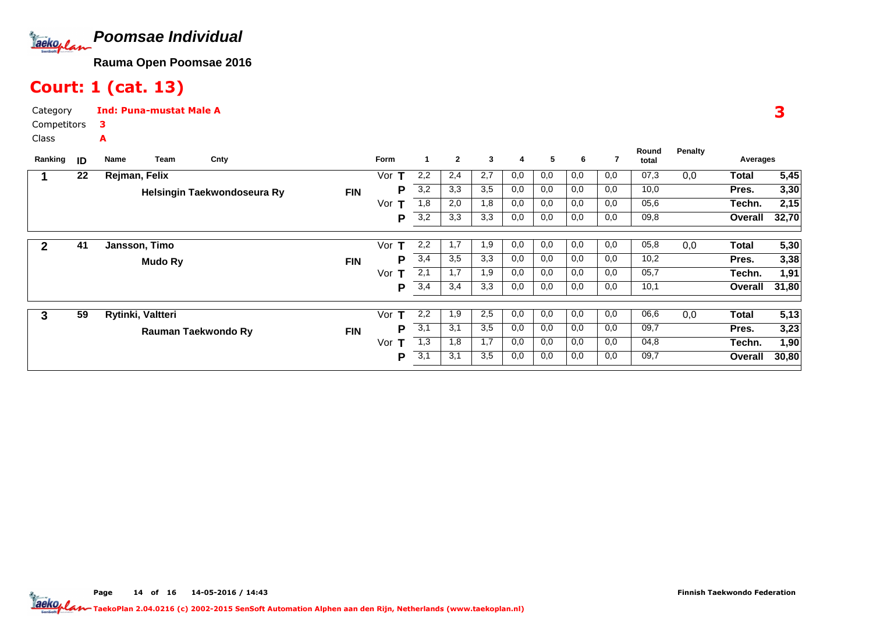

# Court: 1 (cat. 13)

A

Category CompetitorsInd: Puna-mustat Male A3

Class

| Ranking      | ID | Team<br>Name      | Cnty                        |            | <b>Form</b> |     | $\mathbf{2}$ | 3   | 4   | 5   | 6   |     | Round<br>total | <b>Penalty</b> | Averages |       |
|--------------|----|-------------------|-----------------------------|------------|-------------|-----|--------------|-----|-----|-----|-----|-----|----------------|----------------|----------|-------|
|              | 22 | Rejman, Felix     |                             |            | Vor         | 2,2 | 2,4          | 2,7 | 0,0 | 0,0 | 0,0 | 0,0 | 07,3           | 0,0            | Total    | 5,45  |
|              |    |                   | Helsingin Taekwondoseura Ry | <b>FIN</b> | Р           | 3,2 | 3,3          | 3,5 | 0,0 | 0,0 | 0,0 | 0,0 | 10,0           |                | Pres.    | 3,30  |
|              |    |                   |                             |            | Vor         | 1,8 | 2,0          | 1,8 | 0,0 | 0,0 | 0,0 | 0,0 | 05,6           |                | Techn.   | 2,15  |
|              |    |                   |                             |            | P           | 3,2 | 3,3          | 3,3 | 0,0 | 0,0 | 0,0 | 0,0 | 09,8           |                | Overall  | 32,70 |
| $\mathbf{2}$ | 41 | Jansson, Timo     |                             |            | Vor<br>т    | 2,2 | 1,7          | 1,9 | 0,0 | 0,0 | 0,0 | 0,0 | 05,8           | 0,0            | Total    | 5,30  |
|              |    |                   |                             |            |             |     | 3,5          |     |     |     | 0,0 |     |                |                |          |       |
|              |    | <b>Mudo Ry</b>    |                             | <b>FIN</b> | P           | 3,4 |              | 3,3 | 0,0 | 0,0 |     | 0,0 | 10,2           |                | Pres.    | 3,38  |
|              |    |                   |                             |            | Vor<br>т    | 2,1 | 1,7          | 1,9 | 0,0 | 0,0 | 0,0 | 0,0 | 05,7           |                | Techn.   | 1,91  |
|              |    |                   |                             |            | Р           | 3,4 | 3,4          | 3,3 | 0,0 | 0,0 | 0,0 | 0,0 | 10,1           |                | Overall  | 31,80 |
|              |    |                   |                             |            |             |     |              |     |     |     |     |     |                |                |          |       |
| 3            | 59 | Rytinki, Valtteri |                             |            | Vor<br>т    | 2,2 | 1,9          | 2,5 | 0,0 | 0,0 | 0,0 | 0,0 | 06,6           | 0,0            | Total    | 5,13  |
|              |    |                   | Rauman Taekwondo Ry         | <b>FIN</b> | Р           | 3,1 | 3,1          | 3,5 | 0,0 | 0,0 | 0,0 | 0,0 | 09,7           |                | Pres.    | 3,23  |
|              |    |                   |                             |            | Vor<br>т    | 1,3 | 1,8          | 1,7 | 0,0 | 0,0 | 0,0 | 0,0 | 04,8           |                | Techn.   | 1,90  |
|              |    |                   |                             |            | P           | 3,1 | 3,1          | 3,5 | 0,0 | 0,0 | 0,0 | 0,0 | 09,7           |                | Overall  | 30,80 |

Page 14 of 16 14-05-2016 / 14:43 14 of 16 14-05-2016 / 14:4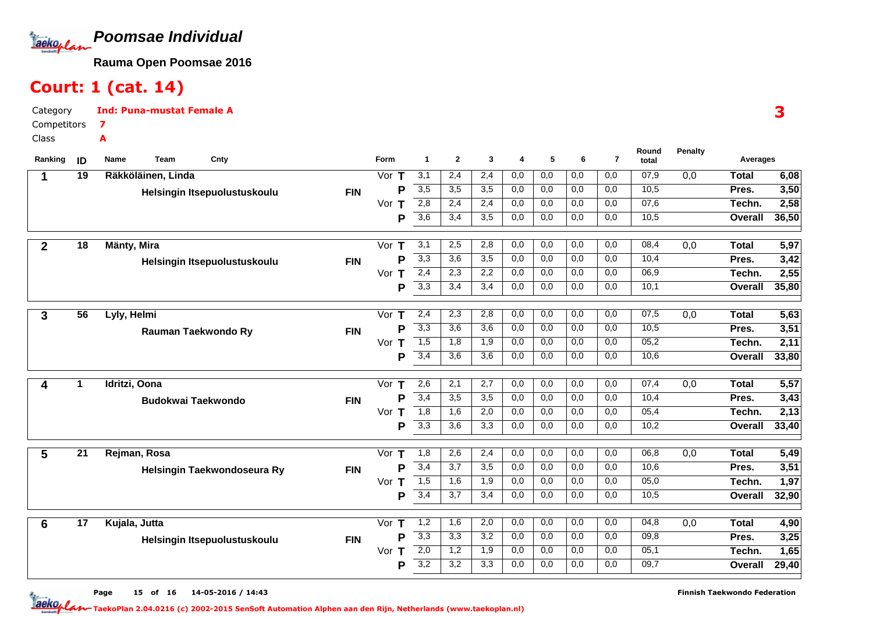

# Court: 1 (cat. 14)

A

Category CompetitorsInd: Puna-mustat Female A7

Class

| Ranking        | ID              | Name<br><b>Team</b>       | Cnty                         |            | <b>Form</b> | $\mathbf{1}$     | $\mathbf{2}$     | 3                | 4          | 5                | 6          | $\overline{7}$ | Round<br>total | Penalty          | Averages          |               |
|----------------|-----------------|---------------------------|------------------------------|------------|-------------|------------------|------------------|------------------|------------|------------------|------------|----------------|----------------|------------------|-------------------|---------------|
| -1             | 19              | Räkköläinen, Linda        |                              |            | Vor $T$     | 3,1              | 2,4              | 2,4              | 0,0        | 0,0              | 0,0        | 0,0            | 07,9           | 0,0              | <b>Total</b>      | 6,08          |
|                |                 |                           | Helsingin Itsepuolustuskoulu | <b>FIN</b> | P           | 3,5              | 3,5              | $\overline{3,5}$ | 0,0        | 0,0              | 0,0        | 0,0            | 10,5           |                  | Pres.             | 3,50          |
|                |                 |                           |                              |            | Vor T       | 2,8              | 2,4              | 2,4              | 0,0        | 0,0              | 0,0        | 0,0            | 07,6           |                  | Techn.            | 2,58          |
|                |                 |                           |                              |            | P           | $\overline{3,6}$ | 3,4              | 3,5              | 0,0        | 0,0              | 0,0        | 0,0            | 10,5           |                  | Overall           | 36,50         |
| $\overline{2}$ | $\overline{18}$ | <b>Mänty, Mira</b>        |                              |            | Vor T       | 3,1              | 2,5              | 2,8              | 0,0        | 0,0              | 0,0        | 0,0            | 08,4           | 0,0              | <b>Total</b>      | 5,97          |
|                |                 |                           | Helsingin Itsepuolustuskoulu | <b>FIN</b> | Ρ           | $\overline{3,3}$ | 3,6              | $\overline{3,5}$ | 0,0        | 0,0              | 0,0        | 0,0            | 10,4           |                  | Pres.             | 3,42          |
|                |                 |                           |                              |            | Vor T       | $\overline{2,4}$ | 2,3              | 2,2              | 0,0        | 0,0              | 0,0        | 0,0            | 06,9           |                  | Techn.            | 2,55          |
|                |                 |                           |                              |            | P           | $\overline{3,3}$ | 3,4              | 3,4              | 0,0        | 0,0              | 0,0        | 0,0            | 10,1           |                  | Overall           | 35,80         |
| 3              | $\overline{56}$ | Lyly, Helmi               |                              |            | Vor T       | 2,4              | 2,3              | 2,8              | 0,0        | 0,0              | 0,0        | 0,0            | 07,5           | 0,0              | <b>Total</b>      | 5,63          |
|                |                 | Rauman Taekwondo Ry       |                              | <b>FIN</b> | Р           | 3,3              | $\overline{3,6}$ | $\overline{3,6}$ | 0,0        | 0,0              | 0,0        | 0,0            | 10,5           |                  | Pres.             | 3,51          |
|                |                 |                           |                              |            | Vor $T$     | 1,5              | 1,8              | 1,9              | 0,0        | 0,0              | 0,0        | 0,0            | 05,2           |                  | Techn.            | 2,11          |
|                |                 |                           |                              |            | Р           | $\overline{3,4}$ | 3,6              | 3,6              | 0,0        | 0,0              | 0,0        | 0,0            | 10,6           |                  | Overall           | 33,80         |
| 4              | $\mathbf 1$     | Idritzi, Oona             |                              |            | Vor $T$     | 2,6              | 2,1              | 2,7              | 0,0        | 0,0              | 0,0        | 0,0            | 07,4           | 0,0              | <b>Total</b>      | 5,57          |
|                |                 | <b>Budokwai Taekwondo</b> |                              | <b>FIN</b> | P           | 3,4              | $\overline{3,5}$ | $\overline{3,5}$ | 0,0        | 0,0              | 0,0        | 0,0            | 10,4           |                  | Pres.             | 3,43          |
|                |                 |                           |                              |            | Vor $T$     | 1,8              | 1,6              | 2,0              | 0,0        | 0,0              | 0,0        | 0,0            | 05,4           |                  | Techn.            | 2,13          |
|                |                 |                           |                              |            | Р           | 3,3              | 3,6              | 3,3              | 0,0        | 0,0              | 0,0        | 0,0            | 10,2           |                  | Overall           | 33,40         |
| 5              | $\overline{21}$ | Rejman, Rosa              |                              |            | Vor $T$     | 1,8              | 2,6              | 2,4              | 0,0        | 0,0              | 0,0        | 0,0            | 06,8           | $\overline{0,0}$ | <b>Total</b>      | 5,49          |
|                |                 |                           |                              | <b>FIN</b> | P           | 3,4              | 3,7              | $\overline{3,5}$ | 0,0        | $\overline{0,0}$ | 0,0        | 0,0            | 10,6           |                  | Pres.             | 3,51          |
|                |                 |                           | Helsingin Taekwondoseura Ry  |            | Vor T       | 1,5              | 1,6              | 1,9              | 0,0        | 0,0              | 0,0        | 0,0            | 05,0           |                  | Techn.            | 1,97          |
|                |                 |                           |                              |            | Р           | $\overline{3,4}$ | 3,7              | 3,4              | 0,0        | 0,0              | 0,0        | 0,0            | 10,5           |                  | <b>Overall</b>    | 32,90         |
|                |                 |                           |                              |            |             |                  |                  |                  |            |                  |            |                |                |                  |                   |               |
| 6              | $\overline{17}$ | Kujala, Jutta             |                              |            | Vor $T$     | 1,2<br>3,3       | 1,6              | 2,0<br>3,2       | 0,0<br>0,0 | 0,0              | 0,0        | 0,0<br>0,0     | 04,8           | 0,0              | <b>Total</b>      | 4,90          |
|                |                 |                           | Helsingin Itsepuolustuskoulu | <b>FIN</b> | P<br>Vor T  | $\overline{2,0}$ | 3,3<br>1,2       | 1,9              | 0,0        | 0,0<br>0,0       | 0,0<br>0,0 | 0,0            | 09,8<br>05,1   |                  | Pres.             | 3,25          |
|                |                 |                           |                              |            | Р           | 3,2              | 3,2              | 3,3              | 0.0        | 0,0              | 0,0        | 0.0            | 09,7           |                  | Techn.<br>Overall | 1,65<br>29,40 |
|                |                 |                           |                              |            |             |                  |                  |                  |            |                  |            |                |                |                  |                   |               |

Page 15 of 16 14-05-2016 / 14:43

Finnish Taekwondo Federation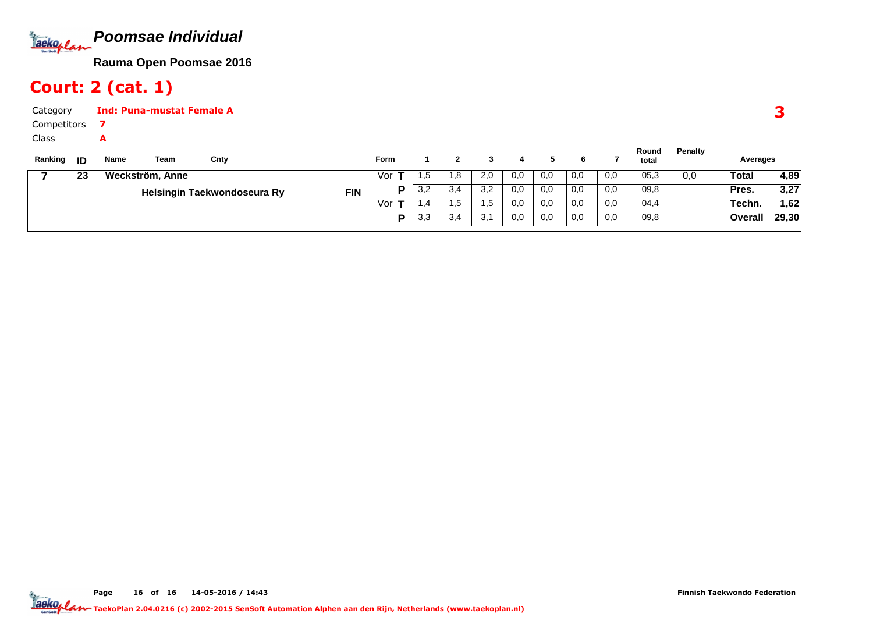

# Court: 2 (cat. 1)

| Category    |    |      | <b>Ind: Puna-mustat Female A</b> |                             |            |             |     |     |     |     |     |     |     |                |         |              |       |
|-------------|----|------|----------------------------------|-----------------------------|------------|-------------|-----|-----|-----|-----|-----|-----|-----|----------------|---------|--------------|-------|
| Competitors |    |      |                                  |                             |            |             |     |     |     |     |     |     |     |                |         |              |       |
| Class       |    | A    |                                  |                             |            |             |     |     |     |     |     |     |     |                |         |              |       |
| Ranking     | ID | Name | Team                             | Cnty                        |            | <b>Form</b> |     |     |     | 4   |     | 6.  |     | Round<br>total | Penalty | Averages     |       |
|             | 23 |      | Weckström, Anne                  |                             |            | Vor T       | c.  | 1.8 | 2,0 | 0,0 | 0,0 | 0,0 | 0,0 | 05,3           | 0,0     | <b>Total</b> | 4,89  |
|             |    |      |                                  | Helsingin Taekwondoseura Ry | <b>FIN</b> | P           | 3,2 | 3,4 | 3,2 | 0,0 | 0,0 | 0,0 | 0,0 | 09,8           |         | Pres.        | 3,27  |
|             |    |      |                                  |                             |            | Vor $T$     | 1,4 | 1,5 | 1,5 | 0,0 | 0,0 | 0,0 | 0,0 | 04,4           |         | Techn.       | 1,62  |
|             |    |      |                                  |                             |            | D           | 3,3 | 3,4 | 3,1 | 0,0 | 0,0 | 0,0 | 0,0 | 09,8           |         | Overall      | 29,30 |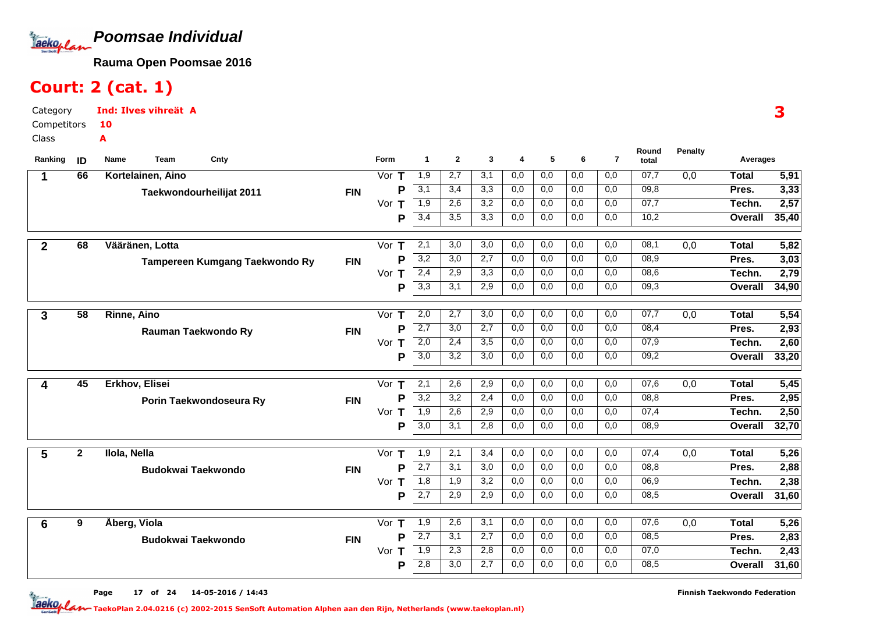

# Court: 2 (cat. 1)

Category CompetitorsClassInd: Ilves vihreät A10A

| 07,7<br>1,9<br>2,7<br>3,1<br>0,0<br>0,0<br>0,0<br>66<br>Kortelainen, Aino<br>Vor $T$<br>0,0<br>$\overline{0,0}$<br><b>Total</b><br>1<br>3,1<br>3,3<br>0,0<br>09,8<br>3,4<br>0,0<br>0,0<br>0,0<br>P<br>Pres.<br><b>FIN</b><br>Taekwondourheilijat 2011<br>$\overline{1,9}$<br>3,2<br>07,7<br>Vor<br>2,6<br>0,0<br>0,0<br>0,0<br>0,0<br>т<br>Techn.<br>3,4<br>3,5<br>3,3<br>0,0<br>0,0<br>10,2<br>0,0<br>0,0<br>P<br><b>Overall</b><br>08,1<br>5,82<br>68<br>Vääränen, Lotta<br>$\mathsf T$<br>2,1<br>3,0<br>3,0<br>0,0<br>0,0<br>0,0<br>0,0<br>0,0<br><b>Total</b><br>$\mathbf{2}$<br>Vor<br>3,2<br>3,03<br>3,0<br>2,7<br>0,0<br>0,0<br>0,0<br>08,9<br>P<br>0,0<br>Pres.<br><b>FIN</b><br>Tampereen Kumgang Taekwondo Ry<br>2,4<br>08,6<br>2,79<br>Vor<br>2,9<br>3,3<br>0,0<br>0,0<br>0,0<br>0,0<br>Techn.<br>Т<br>3,3<br>3,1<br>2,9<br>0,0<br>0,0<br>0,0<br>0,0<br>09,3<br>P<br>Overall<br>$\overline{58}$<br>2,0<br>2,7<br>$\overline{3,0}$<br>0,0<br>0,0<br>07,7<br>Rinne, Aino<br>Vor $T$<br>0,0<br>0,0<br>0,0<br><b>Total</b><br>3<br>$\overline{2,7}$<br>08,4<br>P<br>3,0<br>2,7<br>0,0<br>0,0<br>0,0<br>0,0<br>Pres.<br><b>FIN</b><br>Rauman Taekwondo Ry<br>$\overline{2,0}$<br>2,60<br>Vor T<br>$\overline{3,5}$<br>0,0<br>0,0<br>0,0<br>$\overline{0,0}$<br>07,9<br>2,4<br>Techn.<br>$\overline{3,0}$<br>3,2<br>3,0<br>0,0<br>0,0<br>0,0<br>0,0<br>09,2<br>33,20<br>P<br>Overall<br>07,6<br>45<br>2,1<br>2,6<br>2,9<br>0,0<br>0,0<br>0,0<br>0,0<br>5,45<br>Erkhov, Elisei<br>т<br>0,0<br><b>Total</b><br>Vor<br>4<br>3,2<br>3,2<br>0,0<br>0,0<br>0,0<br>08,8<br>2,95<br>P<br>2,4<br>0,0<br>Pres.<br><b>FIN</b><br>Porin Taekwondoseura Ry<br>$\overline{1,9}$<br>2,6<br>2,9<br>07,4<br>Vor $T$<br>0,0<br>0,0<br>0,0<br>0,0<br>Techn.<br>$\overline{3,0}$<br>2,8<br>0,0<br>08,9<br>3,1<br>0,0<br>0,0<br>0,0<br>Overall<br>P<br>$\overline{2}$<br>5,26<br>2,1<br>3,4<br>0,0<br>0,0<br>07,4<br>0,0<br><b>Total</b><br>5<br>Ilola, Nella<br>Vor $T$<br>1,9<br>0,0<br>0,0<br>2,7<br>0,0<br>2,88<br>P<br>3,1<br>3,0<br>0,0<br>0,0<br>0,0<br>08,8<br>Pres.<br><b>FIN</b><br><b>Budokwai Taekwondo</b><br>2,38<br>1,8<br>1.9<br>3,2<br>$\overline{0,0}$<br>06,9<br>Vor T<br>0,0<br>0,0<br>0,0<br>Techn.<br>$\overline{2,7}$<br>2,9<br>2,9<br>0,0<br>0,0<br>0,0<br>0,0<br>08,5<br>31,60<br>P<br>Overall<br>9<br>07,6<br>Åberg, Viola<br>Vor $T$<br>1,9<br>2,6<br>3,1<br>0,0<br>0,0<br>0,0<br>0,0<br>0,0<br><b>Total</b><br>6<br>$\overline{2,7}$<br>2,7<br>3,1<br>0,0<br>0,0<br>0,0<br>0,0<br>08,5<br>P<br>Pres.<br><b>FIN</b><br><b>Budokwai Taekwondo</b><br>$\overline{1,9}$<br>07,0<br>2,3<br>2,8<br>0,0<br>0,0<br>0,0<br>0,0<br>Vor T<br>Techn.<br>2,8<br>3,0<br>2,7<br>0,0<br>08,5<br>0,0<br>0,0<br>0,0<br>Overall<br>P | Ranking | ID | Team<br>Cnty<br>Name | <b>Form</b> | $\mathbf{1}$ | $\mathbf{2}$ | 3 | 4 | 5 | 6 | $\overline{7}$ | Round<br>total | <b>Penalty</b> | Averages |       |
|-------------------------------------------------------------------------------------------------------------------------------------------------------------------------------------------------------------------------------------------------------------------------------------------------------------------------------------------------------------------------------------------------------------------------------------------------------------------------------------------------------------------------------------------------------------------------------------------------------------------------------------------------------------------------------------------------------------------------------------------------------------------------------------------------------------------------------------------------------------------------------------------------------------------------------------------------------------------------------------------------------------------------------------------------------------------------------------------------------------------------------------------------------------------------------------------------------------------------------------------------------------------------------------------------------------------------------------------------------------------------------------------------------------------------------------------------------------------------------------------------------------------------------------------------------------------------------------------------------------------------------------------------------------------------------------------------------------------------------------------------------------------------------------------------------------------------------------------------------------------------------------------------------------------------------------------------------------------------------------------------------------------------------------------------------------------------------------------------------------------------------------------------------------------------------------------------------------------------------------------------------------------------------------------------------------------------------------------------------------------------------------------------------------------------------------------------------------------------------------------------------------------------------------------------------------------------------------------------------------------------------------------------------------------------------------------------------------------------------|---------|----|----------------------|-------------|--------------|--------------|---|---|---|---|----------------|----------------|----------------|----------|-------|
|                                                                                                                                                                                                                                                                                                                                                                                                                                                                                                                                                                                                                                                                                                                                                                                                                                                                                                                                                                                                                                                                                                                                                                                                                                                                                                                                                                                                                                                                                                                                                                                                                                                                                                                                                                                                                                                                                                                                                                                                                                                                                                                                                                                                                                                                                                                                                                                                                                                                                                                                                                                                                                                                                                                               |         |    |                      |             |              |              |   |   |   |   |                |                |                |          | 5,91  |
|                                                                                                                                                                                                                                                                                                                                                                                                                                                                                                                                                                                                                                                                                                                                                                                                                                                                                                                                                                                                                                                                                                                                                                                                                                                                                                                                                                                                                                                                                                                                                                                                                                                                                                                                                                                                                                                                                                                                                                                                                                                                                                                                                                                                                                                                                                                                                                                                                                                                                                                                                                                                                                                                                                                               |         |    |                      |             |              |              |   |   |   |   |                |                |                |          | 3,33  |
|                                                                                                                                                                                                                                                                                                                                                                                                                                                                                                                                                                                                                                                                                                                                                                                                                                                                                                                                                                                                                                                                                                                                                                                                                                                                                                                                                                                                                                                                                                                                                                                                                                                                                                                                                                                                                                                                                                                                                                                                                                                                                                                                                                                                                                                                                                                                                                                                                                                                                                                                                                                                                                                                                                                               |         |    |                      |             |              |              |   |   |   |   |                |                |                |          | 2,57  |
|                                                                                                                                                                                                                                                                                                                                                                                                                                                                                                                                                                                                                                                                                                                                                                                                                                                                                                                                                                                                                                                                                                                                                                                                                                                                                                                                                                                                                                                                                                                                                                                                                                                                                                                                                                                                                                                                                                                                                                                                                                                                                                                                                                                                                                                                                                                                                                                                                                                                                                                                                                                                                                                                                                                               |         |    |                      |             |              |              |   |   |   |   |                |                |                |          | 35,40 |
|                                                                                                                                                                                                                                                                                                                                                                                                                                                                                                                                                                                                                                                                                                                                                                                                                                                                                                                                                                                                                                                                                                                                                                                                                                                                                                                                                                                                                                                                                                                                                                                                                                                                                                                                                                                                                                                                                                                                                                                                                                                                                                                                                                                                                                                                                                                                                                                                                                                                                                                                                                                                                                                                                                                               |         |    |                      |             |              |              |   |   |   |   |                |                |                |          |       |
|                                                                                                                                                                                                                                                                                                                                                                                                                                                                                                                                                                                                                                                                                                                                                                                                                                                                                                                                                                                                                                                                                                                                                                                                                                                                                                                                                                                                                                                                                                                                                                                                                                                                                                                                                                                                                                                                                                                                                                                                                                                                                                                                                                                                                                                                                                                                                                                                                                                                                                                                                                                                                                                                                                                               |         |    |                      |             |              |              |   |   |   |   |                |                |                |          |       |
|                                                                                                                                                                                                                                                                                                                                                                                                                                                                                                                                                                                                                                                                                                                                                                                                                                                                                                                                                                                                                                                                                                                                                                                                                                                                                                                                                                                                                                                                                                                                                                                                                                                                                                                                                                                                                                                                                                                                                                                                                                                                                                                                                                                                                                                                                                                                                                                                                                                                                                                                                                                                                                                                                                                               |         |    |                      |             |              |              |   |   |   |   |                |                |                |          |       |
|                                                                                                                                                                                                                                                                                                                                                                                                                                                                                                                                                                                                                                                                                                                                                                                                                                                                                                                                                                                                                                                                                                                                                                                                                                                                                                                                                                                                                                                                                                                                                                                                                                                                                                                                                                                                                                                                                                                                                                                                                                                                                                                                                                                                                                                                                                                                                                                                                                                                                                                                                                                                                                                                                                                               |         |    |                      |             |              |              |   |   |   |   |                |                |                |          | 34,90 |
|                                                                                                                                                                                                                                                                                                                                                                                                                                                                                                                                                                                                                                                                                                                                                                                                                                                                                                                                                                                                                                                                                                                                                                                                                                                                                                                                                                                                                                                                                                                                                                                                                                                                                                                                                                                                                                                                                                                                                                                                                                                                                                                                                                                                                                                                                                                                                                                                                                                                                                                                                                                                                                                                                                                               |         |    |                      |             |              |              |   |   |   |   |                |                |                |          |       |
|                                                                                                                                                                                                                                                                                                                                                                                                                                                                                                                                                                                                                                                                                                                                                                                                                                                                                                                                                                                                                                                                                                                                                                                                                                                                                                                                                                                                                                                                                                                                                                                                                                                                                                                                                                                                                                                                                                                                                                                                                                                                                                                                                                                                                                                                                                                                                                                                                                                                                                                                                                                                                                                                                                                               |         |    |                      |             |              |              |   |   |   |   |                |                |                |          | 5,54  |
|                                                                                                                                                                                                                                                                                                                                                                                                                                                                                                                                                                                                                                                                                                                                                                                                                                                                                                                                                                                                                                                                                                                                                                                                                                                                                                                                                                                                                                                                                                                                                                                                                                                                                                                                                                                                                                                                                                                                                                                                                                                                                                                                                                                                                                                                                                                                                                                                                                                                                                                                                                                                                                                                                                                               |         |    |                      |             |              |              |   |   |   |   |                |                |                |          | 2,93  |
|                                                                                                                                                                                                                                                                                                                                                                                                                                                                                                                                                                                                                                                                                                                                                                                                                                                                                                                                                                                                                                                                                                                                                                                                                                                                                                                                                                                                                                                                                                                                                                                                                                                                                                                                                                                                                                                                                                                                                                                                                                                                                                                                                                                                                                                                                                                                                                                                                                                                                                                                                                                                                                                                                                                               |         |    |                      |             |              |              |   |   |   |   |                |                |                |          |       |
|                                                                                                                                                                                                                                                                                                                                                                                                                                                                                                                                                                                                                                                                                                                                                                                                                                                                                                                                                                                                                                                                                                                                                                                                                                                                                                                                                                                                                                                                                                                                                                                                                                                                                                                                                                                                                                                                                                                                                                                                                                                                                                                                                                                                                                                                                                                                                                                                                                                                                                                                                                                                                                                                                                                               |         |    |                      |             |              |              |   |   |   |   |                |                |                |          |       |
|                                                                                                                                                                                                                                                                                                                                                                                                                                                                                                                                                                                                                                                                                                                                                                                                                                                                                                                                                                                                                                                                                                                                                                                                                                                                                                                                                                                                                                                                                                                                                                                                                                                                                                                                                                                                                                                                                                                                                                                                                                                                                                                                                                                                                                                                                                                                                                                                                                                                                                                                                                                                                                                                                                                               |         |    |                      |             |              |              |   |   |   |   |                |                |                |          |       |
|                                                                                                                                                                                                                                                                                                                                                                                                                                                                                                                                                                                                                                                                                                                                                                                                                                                                                                                                                                                                                                                                                                                                                                                                                                                                                                                                                                                                                                                                                                                                                                                                                                                                                                                                                                                                                                                                                                                                                                                                                                                                                                                                                                                                                                                                                                                                                                                                                                                                                                                                                                                                                                                                                                                               |         |    |                      |             |              |              |   |   |   |   |                |                |                |          |       |
|                                                                                                                                                                                                                                                                                                                                                                                                                                                                                                                                                                                                                                                                                                                                                                                                                                                                                                                                                                                                                                                                                                                                                                                                                                                                                                                                                                                                                                                                                                                                                                                                                                                                                                                                                                                                                                                                                                                                                                                                                                                                                                                                                                                                                                                                                                                                                                                                                                                                                                                                                                                                                                                                                                                               |         |    |                      |             |              |              |   |   |   |   |                |                |                |          | 2,50  |
|                                                                                                                                                                                                                                                                                                                                                                                                                                                                                                                                                                                                                                                                                                                                                                                                                                                                                                                                                                                                                                                                                                                                                                                                                                                                                                                                                                                                                                                                                                                                                                                                                                                                                                                                                                                                                                                                                                                                                                                                                                                                                                                                                                                                                                                                                                                                                                                                                                                                                                                                                                                                                                                                                                                               |         |    |                      |             |              |              |   |   |   |   |                |                |                |          | 32,70 |
|                                                                                                                                                                                                                                                                                                                                                                                                                                                                                                                                                                                                                                                                                                                                                                                                                                                                                                                                                                                                                                                                                                                                                                                                                                                                                                                                                                                                                                                                                                                                                                                                                                                                                                                                                                                                                                                                                                                                                                                                                                                                                                                                                                                                                                                                                                                                                                                                                                                                                                                                                                                                                                                                                                                               |         |    |                      |             |              |              |   |   |   |   |                |                |                |          |       |
|                                                                                                                                                                                                                                                                                                                                                                                                                                                                                                                                                                                                                                                                                                                                                                                                                                                                                                                                                                                                                                                                                                                                                                                                                                                                                                                                                                                                                                                                                                                                                                                                                                                                                                                                                                                                                                                                                                                                                                                                                                                                                                                                                                                                                                                                                                                                                                                                                                                                                                                                                                                                                                                                                                                               |         |    |                      |             |              |              |   |   |   |   |                |                |                |          |       |
|                                                                                                                                                                                                                                                                                                                                                                                                                                                                                                                                                                                                                                                                                                                                                                                                                                                                                                                                                                                                                                                                                                                                                                                                                                                                                                                                                                                                                                                                                                                                                                                                                                                                                                                                                                                                                                                                                                                                                                                                                                                                                                                                                                                                                                                                                                                                                                                                                                                                                                                                                                                                                                                                                                                               |         |    |                      |             |              |              |   |   |   |   |                |                |                |          |       |
|                                                                                                                                                                                                                                                                                                                                                                                                                                                                                                                                                                                                                                                                                                                                                                                                                                                                                                                                                                                                                                                                                                                                                                                                                                                                                                                                                                                                                                                                                                                                                                                                                                                                                                                                                                                                                                                                                                                                                                                                                                                                                                                                                                                                                                                                                                                                                                                                                                                                                                                                                                                                                                                                                                                               |         |    |                      |             |              |              |   |   |   |   |                |                |                |          |       |
|                                                                                                                                                                                                                                                                                                                                                                                                                                                                                                                                                                                                                                                                                                                                                                                                                                                                                                                                                                                                                                                                                                                                                                                                                                                                                                                                                                                                                                                                                                                                                                                                                                                                                                                                                                                                                                                                                                                                                                                                                                                                                                                                                                                                                                                                                                                                                                                                                                                                                                                                                                                                                                                                                                                               |         |    |                      |             |              |              |   |   |   |   |                |                |                |          |       |
|                                                                                                                                                                                                                                                                                                                                                                                                                                                                                                                                                                                                                                                                                                                                                                                                                                                                                                                                                                                                                                                                                                                                                                                                                                                                                                                                                                                                                                                                                                                                                                                                                                                                                                                                                                                                                                                                                                                                                                                                                                                                                                                                                                                                                                                                                                                                                                                                                                                                                                                                                                                                                                                                                                                               |         |    |                      |             |              |              |   |   |   |   |                |                |                |          | 5,26  |
|                                                                                                                                                                                                                                                                                                                                                                                                                                                                                                                                                                                                                                                                                                                                                                                                                                                                                                                                                                                                                                                                                                                                                                                                                                                                                                                                                                                                                                                                                                                                                                                                                                                                                                                                                                                                                                                                                                                                                                                                                                                                                                                                                                                                                                                                                                                                                                                                                                                                                                                                                                                                                                                                                                                               |         |    |                      |             |              |              |   |   |   |   |                |                |                |          | 2,83  |
|                                                                                                                                                                                                                                                                                                                                                                                                                                                                                                                                                                                                                                                                                                                                                                                                                                                                                                                                                                                                                                                                                                                                                                                                                                                                                                                                                                                                                                                                                                                                                                                                                                                                                                                                                                                                                                                                                                                                                                                                                                                                                                                                                                                                                                                                                                                                                                                                                                                                                                                                                                                                                                                                                                                               |         |    |                      |             |              |              |   |   |   |   |                |                |                |          | 2,43  |
|                                                                                                                                                                                                                                                                                                                                                                                                                                                                                                                                                                                                                                                                                                                                                                                                                                                                                                                                                                                                                                                                                                                                                                                                                                                                                                                                                                                                                                                                                                                                                                                                                                                                                                                                                                                                                                                                                                                                                                                                                                                                                                                                                                                                                                                                                                                                                                                                                                                                                                                                                                                                                                                                                                                               |         |    |                      |             |              |              |   |   |   |   |                |                |                |          | 31,60 |

3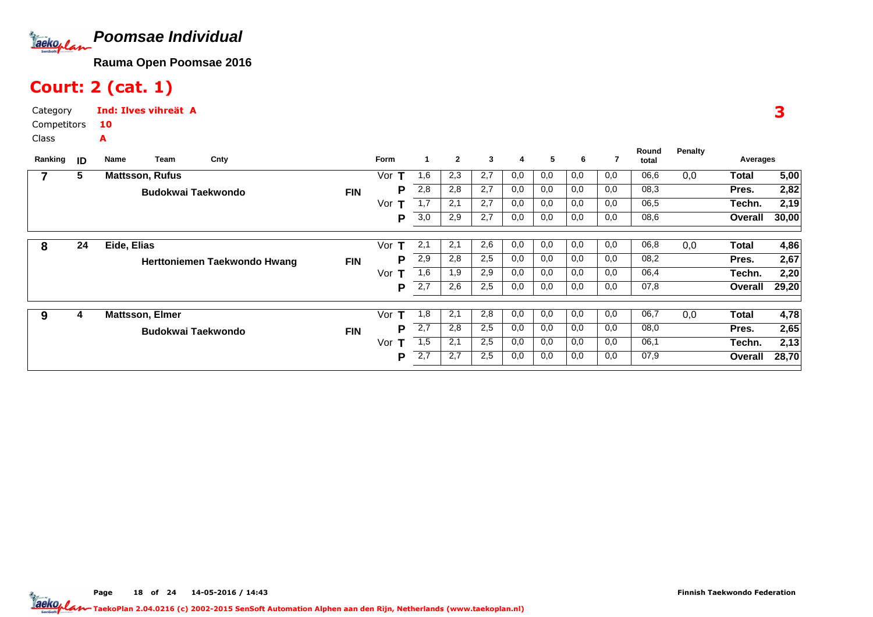

# Court: 2 (cat. 1)

Category CompetitorsClassInd: Ilves vihreät A10A

|         |    | Team                   |                              |            | <b>Form</b> | 1   | $\mathbf{2}$ | 3   | 4   | 5   | 6   | 7   | Round | <b>Penalty</b> |          |       |
|---------|----|------------------------|------------------------------|------------|-------------|-----|--------------|-----|-----|-----|-----|-----|-------|----------------|----------|-------|
| Ranking | ID | Name                   | Cnty                         |            |             |     |              |     |     |     |     |     | total |                | Averages |       |
|         | 5  | <b>Mattsson, Rufus</b> |                              |            | Vor         | 1,6 | 2,3          | 2,7 | 0,0 | 0,0 | 0,0 | 0,0 | 06,6  | 0,0            | Total    | 5,00  |
|         |    | Budokwai Taekwondo     |                              | <b>FIN</b> | Р           | 2,8 | 2,8          | 2,7 | 0,0 | 0,0 | 0,0 | 0,0 | 08,3  |                | Pres.    | 2,82  |
|         |    |                        |                              |            | Vor         | 1,7 | 2,1          | 2,7 | 0,0 | 0,0 | 0,0 | 0,0 | 06,5  |                | Techn.   | 2,19  |
|         |    |                        |                              |            | P           | 3,0 | 2,9          | 2,7 | 0,0 | 0,0 | 0,0 | 0,0 | 08,6  |                | Overall  | 30,00 |
|         |    |                        |                              |            |             |     |              |     |     |     |     |     |       |                |          |       |
| 8       | 24 | Eide, Elias            |                              |            | Vor<br>т    | 2,1 | 2,1          | 2,6 | 0,0 | 0,0 | 0,0 | 0,0 | 06,8  | 0,0            | Total    | 4,86  |
|         |    |                        | Herttoniemen Taekwondo Hwang | <b>FIN</b> | Р           | 2,9 | 2,8          | 2,5 | 0,0 | 0,0 | 0,0 | 0,0 | 08,2  |                | Pres.    | 2,67  |
|         |    |                        |                              |            | Vor<br>т    | 1,6 | 1,9          | 2,9 | 0,0 | 0,0 | 0,0 | 0,0 | 06,4  |                | Techn.   | 2,20  |
|         |    |                        |                              |            | P           | 2,7 | 2,6          | 2,5 | 0,0 | 0,0 | 0,0 | 0,0 | 07,8  |                | Overall  | 29,20 |
|         |    |                        |                              |            |             |     |              |     |     |     |     |     |       |                |          |       |
| 9       | 4  | <b>Mattsson, Elmer</b> |                              |            | Vor<br>т    | 1,8 | 2,1          | 2,8 | 0,0 | 0,0 | 0,0 | 0,0 | 06,7  | 0,0            | Total    | 4,78  |
|         |    | Budokwai Taekwondo     |                              | <b>FIN</b> | Р           | 2,7 | 2,8          | 2,5 | 0,0 | 0,0 | 0,0 | 0,0 | 08,0  |                | Pres.    | 2,65  |
|         |    |                        |                              |            | Vor<br>т    | 1,5 | 2,1          | 2,5 | 0,0 | 0,0 | 0,0 | 0,0 | 06,1  |                | Techn.   | 2,13  |
|         |    |                        |                              |            | P           | 2,7 | 2,7          | 2,5 | 0,0 | 0,0 | 0,0 | 0,0 | 07,9  |                | Overall  | 28,70 |
|         |    |                        |                              |            |             |     |              |     |     |     |     |     |       |                |          |       |

3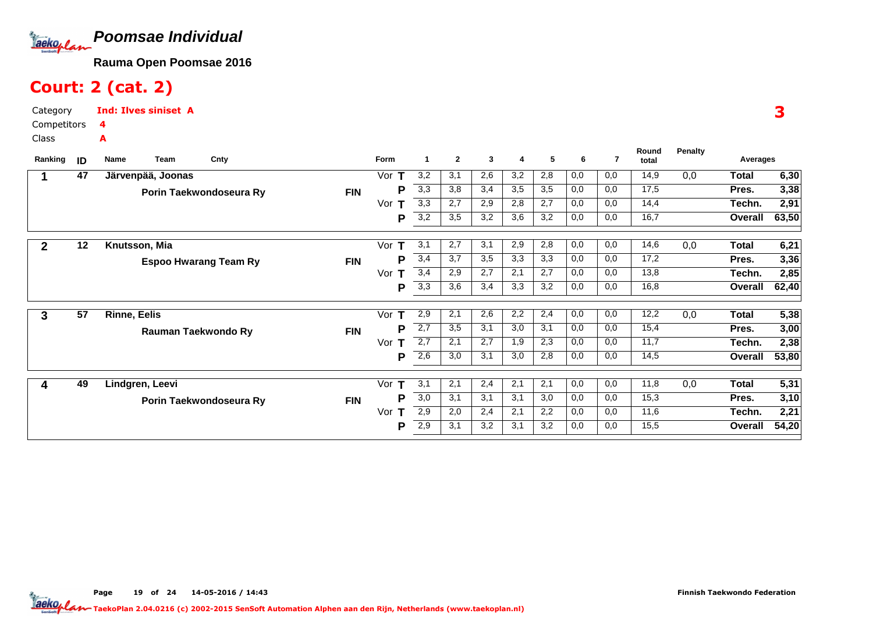

# Court: 2 (cat. 2)

Category CompetitorsClassInd: Ilves siniset A4A

| ID | Team<br><b>Name</b> | Cnty                                 |                                                                                                                                                   | <b>Form</b>              | -1                          | $\mathbf{2}$      | 3                 | 4                 | 5          | 6                 | 7          | Round<br>total    | <b>Penalty</b>       | Averages          |                                              |
|----|---------------------|--------------------------------------|---------------------------------------------------------------------------------------------------------------------------------------------------|--------------------------|-----------------------------|-------------------|-------------------|-------------------|------------|-------------------|------------|-------------------|----------------------|-------------------|----------------------------------------------|
| 47 |                     |                                      |                                                                                                                                                   | Vor                      | 3,2                         | 3,1               | 2,6               | 3,2               | 2,8        | 0,0               | 0,0        | 14,9              | 0,0                  | <b>Total</b>      | 6,30                                         |
|    |                     |                                      | <b>FIN</b>                                                                                                                                        | Р                        | 3,3                         | 3,8               | 3,4               | 3,5               | 3,5        | 0,0               | 0,0        | 17,5              |                      | Pres.             | 3,38                                         |
|    |                     |                                      |                                                                                                                                                   | Vor<br>т                 | 3,3                         | 2,7               | 2,9               | 2,8               | 2,7        | 0,0               | 0,0        | 14,4              |                      | Techn.            | 2,91                                         |
|    |                     |                                      |                                                                                                                                                   | P                        | 3,2                         | 3,5               | 3,2               | 3,6               | 3,2        | 0,0               | 0,0        | 16,7              |                      | Overall           | 63,50                                        |
|    |                     |                                      |                                                                                                                                                   |                          |                             |                   |                   |                   |            |                   |            |                   |                      |                   | 6,21                                         |
|    |                     |                                      |                                                                                                                                                   | Р                        | 3,4                         | 3,7               | 3,5               | 3,3               | 3,3        | 0,0               | 0,0        | 17,2              |                      | Pres.             | 3,36                                         |
|    |                     |                                      |                                                                                                                                                   | Vor<br>т                 | 3,4                         | 2,9               | $\overline{2,7}$  | 2,1               | 2,7        | 0,0               | 0,0        | 13,8              |                      | Techn.            | 2,85                                         |
|    |                     |                                      |                                                                                                                                                   | P                        | 3,3                         | 3,6               | 3,4               | 3,3               | 3,2        | 0,0               | 0,0        | 16,8              |                      | Overall           | 62,40                                        |
|    |                     |                                      |                                                                                                                                                   |                          |                             |                   |                   |                   |            |                   |            |                   |                      |                   | 5,38                                         |
|    |                     |                                      | <b>FIN</b>                                                                                                                                        | P                        | 2,7                         | 3,5               | 3,1               | 3,0               | 3,1        | 0,0               | 0,0        | 15,4              |                      | Pres.             | 3,00                                         |
|    |                     |                                      |                                                                                                                                                   | Vor<br>т                 | 2,7                         | 2,1               | 2,7               | 1,9               | 2,3        | 0,0               | 0,0        | 11,7              |                      | Techn.            | 2,38                                         |
|    |                     |                                      |                                                                                                                                                   | Р                        | 2,6                         | 3,0               | 3,1               | 3,0               | 2,8        | 0,0               | 0,0        | 14,5              |                      | Overall           | 53,80                                        |
|    |                     |                                      |                                                                                                                                                   |                          |                             |                   |                   | 2,1               |            | 0,0               |            |                   |                      |                   | 5,31                                         |
|    |                     |                                      |                                                                                                                                                   | P                        | 3,0                         | 3,1               | 3,1               | 3,1               | 3,0        | 0,0               | 0,0        | 15,3              |                      | Pres.             | 3,10                                         |
|    |                     |                                      |                                                                                                                                                   | Vor<br>т                 | 2,9                         | 2,0               | 2,4               | 2,1               | 2,2        | 0,0               | 0,0        | 11,6              |                      | Techn.            | 2,21                                         |
|    |                     |                                      |                                                                                                                                                   | Р                        | 2,9                         | 3,1               | 3,2               | 3,1               | 3,2        | 0,0               | 0,0        | 15,5              |                      | Overall           | 54,20                                        |
|    | 12<br>57<br>49      | Knutsson, Mia<br><b>Rinne, Eelis</b> | Järvenpää, Joonas<br>Porin Taekwondoseura Ry<br><b>Espoo Hwarang Team Ry</b><br>Rauman Taekwondo Ry<br>Lindgren, Leevi<br>Porin Taekwondoseura Ry | <b>FIN</b><br><b>FIN</b> | Vor<br>Vor<br>т<br>т<br>Vor | 3,1<br>2,9<br>3,1 | 2,7<br>2,1<br>2,1 | 3,1<br>2,6<br>2,4 | 2,9<br>2,2 | 2,8<br>2,4<br>2,1 | 0,0<br>0,0 | 0,0<br>0,0<br>0,0 | 14,6<br>12,2<br>11,8 | 0,0<br>0,0<br>0,0 | <b>Total</b><br><b>Total</b><br><b>Total</b> |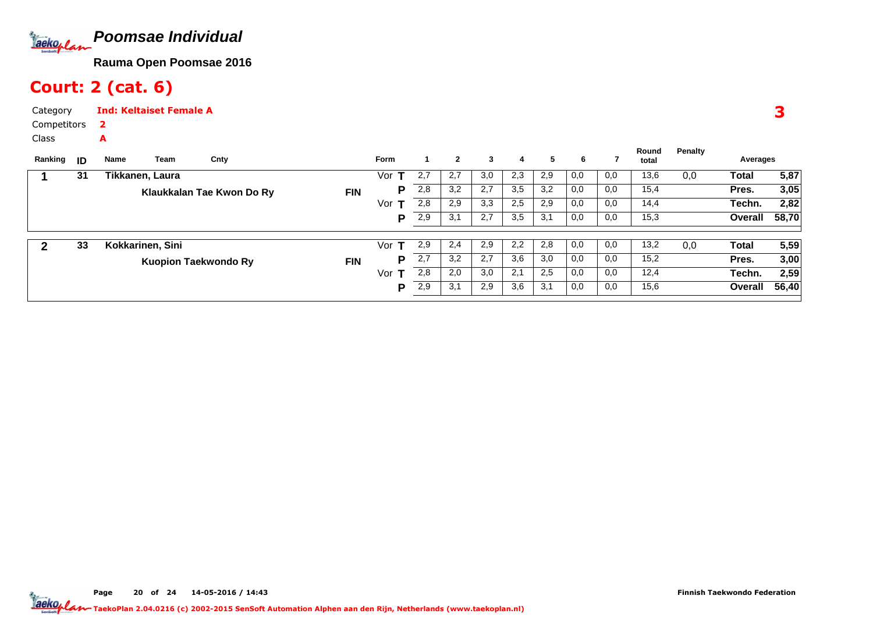

# Court: 2 (cat. 6)

A

Category CompetitorsInd: Keltaiset Female A2

Class

| Ranking | ID | Name | Team             | Cnty                      |            | <b>Form</b> |     | 2   | 3   | 4   | 5   | 6   |     | Round<br>total | Penalty | Averages |       |
|---------|----|------|------------------|---------------------------|------------|-------------|-----|-----|-----|-----|-----|-----|-----|----------------|---------|----------|-------|
|         | 31 |      | Tikkanen, Laura  |                           |            | Vor         | 2,7 | 2,7 | 3,0 | 2,3 | 2,9 | 0,0 | 0,0 | 13,6           | 0,0     | Total    | 5,87  |
|         |    |      |                  | Klaukkalan Tae Kwon Do Ry | <b>FIN</b> | P           | 2,8 | 3,2 | 2,7 | 3,5 | 3,2 | 0,0 | 0,0 | 15,4           |         | Pres.    | 3,05  |
|         |    |      |                  |                           |            | Vor         | 2,8 | 2,9 | 3,3 | 2,5 | 2,9 | 0,0 | 0,0 | 14,4           |         | Techn.   | 2,82  |
|         |    |      |                  |                           |            | P           | 2,9 | 3,1 | 2,7 | 3,5 | 3,1 | 0,0 | 0,0 | 15,3           |         | Overall  | 58,70 |
|         | 33 |      | Kokkarinen, Sini |                           |            | Vor         | 2,9 | 2,4 | 2,9 | 2,2 | 2,8 | 0,0 | 0,0 | 13,2           | 0,0     | Total    | 5,59  |
|         |    |      |                  | Kuopion Taekwondo Ry      | <b>FIN</b> | P           | 2,7 | 3,2 | 2,7 | 3,6 | 3,0 | 0,0 | 0,0 | 15,2           |         | Pres.    | 3,00  |
|         |    |      |                  |                           |            | Vor $T$     | 2,8 | 2,0 | 3,0 | 2,1 | 2,5 | 0,0 | 0,0 | 12,4           |         | Techn.   | 2,59  |
|         |    |      |                  |                           |            | P           | 2,9 | 3,1 | 2,9 | 3,6 | 3,1 | 0,0 | 0,0 | 15,6           |         | Overall  | 56,40 |

Page 20 of 24 14-05-2016 / 14:43 20 of 24 14-05-2016 / 14:4

3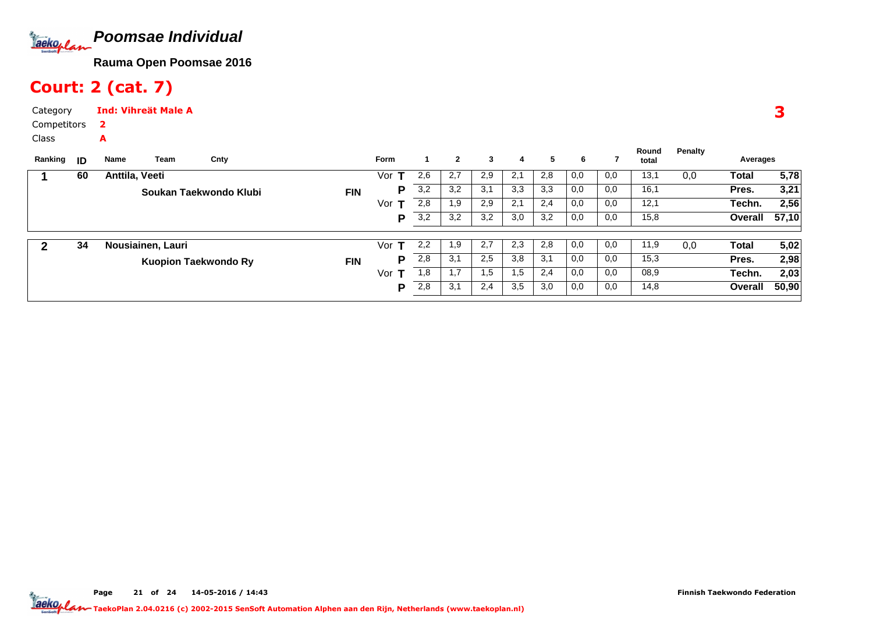

# Court: 2 (cat. 7)

A

Category CompetitorsInd: Vihreät Male A2

Class

| ID | Team<br>Name   | Cnty |                                                                            | <b>Form</b> |     | $\mathbf{2}$ | 3   | 4   | 5   | 6   |     | Round<br>total | Penalty | Averages     |       |
|----|----------------|------|----------------------------------------------------------------------------|-------------|-----|--------------|-----|-----|-----|-----|-----|----------------|---------|--------------|-------|
| 60 | Anttila, Veeti |      |                                                                            | Vor         | 2,6 | 2,7          | 2,9 | 2,1 | 2,8 | 0,0 | 0,0 | 13,1           | 0,0     | Total        | 5,78  |
|    |                |      | <b>FIN</b>                                                                 | P           | 3,2 | 3,2          | 3,1 | 3,3 | 3.3 | 0,0 | 0,0 | 16,1           |         | Pres.        | 3,21  |
|    |                |      |                                                                            | Vor         | 2,8 | 1,9          | 2,9 | 2,1 | 2,4 | 0,0 | 0,0 | 12,1           |         | Techn.       | 2,56  |
|    |                |      |                                                                            | P           | 3,2 | 3,2          | 3,2 | 3,0 | 3,2 | 0,0 | 0,0 | 15,8           |         | Overall      | 57,10 |
| 34 |                |      |                                                                            | Vor         | 2,2 | 1.9          | 2,7 | 2,3 | 2,8 | 0,0 | 0,0 | 11,9           | 0,0     | <b>Total</b> | 5,02  |
|    |                |      | <b>FIN</b>                                                                 | P           | 2,8 | 3,1          | 2,5 | 3,8 | 3,1 | 0,0 | 0,0 | 15,3           |         | Pres.        | 2,98  |
|    |                |      |                                                                            | Vor<br>т    | 1,8 |              | 1,5 | 1,5 | 2,4 | 0,0 | 0,0 | 08,9           |         | Techn.       | 2,03  |
|    |                |      |                                                                            | P           | 2,8 | 3,1          | 2,4 | 3,5 | 3,0 | 0,0 | 0,0 | 14,8           |         | Overall      | 50,90 |
|    |                |      | Soukan Taekwondo Klubi<br>Nousiainen, Lauri<br><b>Kuopion Taekwondo Ry</b> |             |     |              |     |     |     |     |     |                |         |              |       |

3

Page 21 of 24 14-05-2016 / 14:43 21 of 24 14-05-2016 / 14:4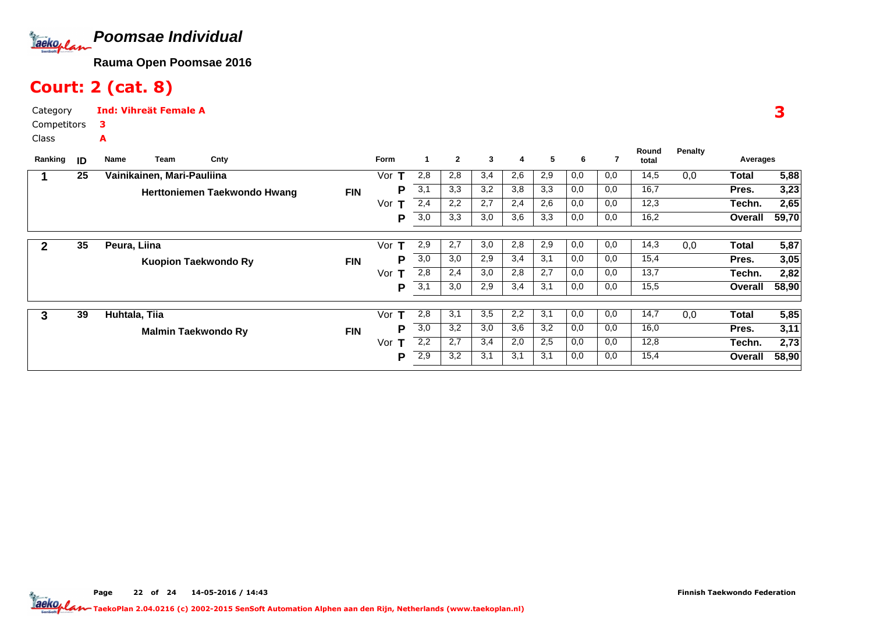

# Court: 2 (cat. 8)

Category CompetitorsInd: Vihreät Female A3A

Class

| Ranking | ID | Team<br>Name                | Cnty                         |            | Form      | 1                | $\mathbf{2}$ | 3   | 4   | 5   | 6   | 7   | Round<br>total | Penalty | Averages |       |
|---------|----|-----------------------------|------------------------------|------------|-----------|------------------|--------------|-----|-----|-----|-----|-----|----------------|---------|----------|-------|
|         | 25 | Vainikainen, Mari-Pauliina  |                              |            | Vor<br>т  | 2,8              | 2,8          | 3,4 | 2,6 | 2,9 | 0,0 | 0,0 | 14,5           | 0,0     | Total    | 5,88  |
|         |    |                             | Herttoniemen Taekwondo Hwang | <b>FIN</b> | P         | 3,1              | 3,3          | 3,2 | 3,8 | 3,3 | 0,0 | 0,0 | 16,7           |         | Pres.    | 3,23  |
|         |    |                             |                              |            | Vor       | 2,4              | 2,2          | 2,7 | 2,4 | 2,6 | 0,0 | 0,0 | 12,3           |         | Techn.   | 2,65  |
|         |    |                             |                              |            | P         | 3,0              | 3,3          | 3,0 | 3,6 | 3,3 | 0,0 | 0,0 | 16,2           |         | Overall  | 59,70 |
|         | 35 | Peura, Liina                |                              |            | т<br>Vor  | 2,9              | 2,7          | 3,0 | 2,8 | 2,9 | 0,0 | 0,0 | 14,3           | 0,0     | Total    | 5,87  |
|         |    | <b>Kuopion Taekwondo Ry</b> |                              | <b>FIN</b> | P         | 3,0              | 3,0          | 2,9 | 3,4 | 3,1 | 0,0 | 0,0 | 15,4           |         | Pres.    | 3,05  |
|         |    |                             |                              |            | Vor<br>т  | 2,8              | 2,4          | 3,0 | 2,8 | 2,7 | 0,0 | 0,0 | 13,7           |         | Techn.   | 2,82  |
|         |    |                             |                              |            | P         | 3,1              | 3,0          | 2,9 | 3,4 | 3,1 | 0,0 | 0,0 | 15,5           |         | Overall  | 58,90 |
| 3       | 39 | Huhtala, Tiia               |                              |            | Vor<br>т  | 2,8              | 3,1          | 3,5 | 2,2 | 3,1 | 0,0 | 0,0 | 14,7           | 0,0     | Total    | 5,85  |
|         |    | <b>Malmin Taekwondo Ry</b>  |                              | <b>FIN</b> | D         | $\overline{3,0}$ | 3,2          | 3,0 | 3,6 | 3,2 | 0,0 | 0,0 | 16,0           |         | Pres.    | 3,11  |
|         |    |                             |                              |            | Vor.<br>т | 2,2              | 2,7          | 3,4 | 2,0 | 2,5 | 0,0 | 0,0 | 12,8           |         | Techn.   | 2,73  |
|         |    |                             |                              |            | P         | 2,9              | 3,2          | 3,1 | 3,1 | 3,1 | 0,0 | 0,0 | 15,4           |         | Overall  | 58,90 |

3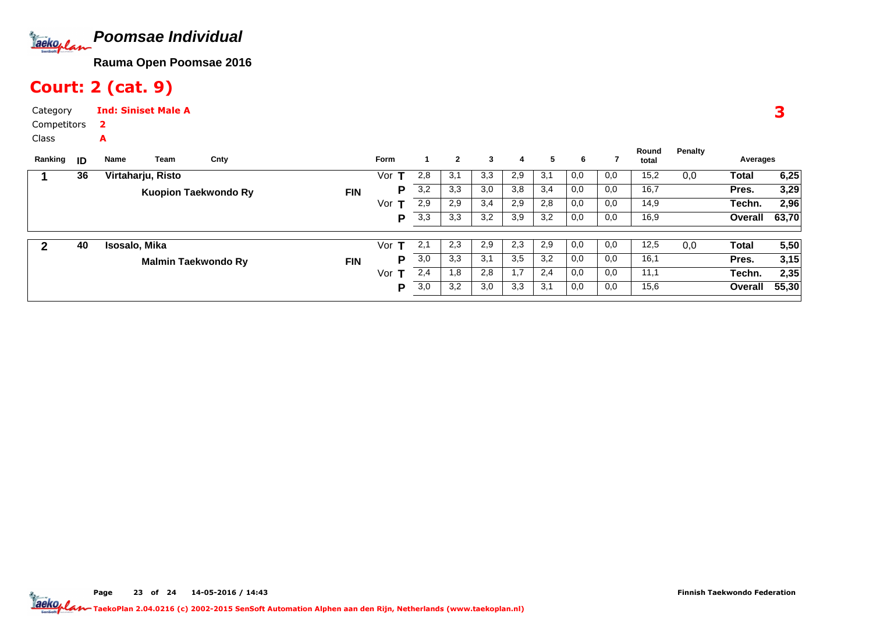

# Court: 2 (cat. 9)

A

Category CompetitorsInd: Siniset Male A2

Class

| Ranking | ID | Name              | Team                       | Cnty                        |            | <b>Form</b> |     | $\mathbf{2}$ | 3   | 4   | 5   | 6   |     | Round<br>total | Penalty | Averages     |       |
|---------|----|-------------------|----------------------------|-----------------------------|------------|-------------|-----|--------------|-----|-----|-----|-----|-----|----------------|---------|--------------|-------|
|         | 36 | Virtaharju, Risto |                            |                             |            | Vor         | 2,8 | 3,1          | 3,3 | 2,9 | 3,1 | 0,0 | 0,0 | 15,2           | 0,0     | Total        | 6,25  |
|         |    |                   |                            | <b>Kuopion Taekwondo Ry</b> | <b>FIN</b> | Р           | 3,2 | 3,3          | 3,0 | 3,8 | 3,4 | 0,0 | 0,0 | 16,7           |         | Pres.        | 3,29  |
|         |    |                   |                            |                             |            | Vor         | 2,9 | 2,9          | 3,4 | 2,9 | 2,8 | 0,0 | 0,0 | 14,9           |         | Techn.       | 2,96  |
|         |    |                   |                            |                             |            | P           | 3,3 | 3,3          | 3,2 | 3,9 | 3,2 | 0,0 | 0,0 | 16,9           |         | Overall      | 63,70 |
|         | 40 | Isosalo, Mika     |                            |                             |            | Vor         | 2,1 | 2,3          | 2,9 | 2,3 | 2,9 | 0,0 | 0,0 | 12,5           | 0,0     | <b>Total</b> | 5,50  |
|         |    |                   | <b>Malmin Taekwondo Ry</b> |                             | <b>FIN</b> | Р           | 3,0 | 3,3          | 3,1 | 3,5 | 3,2 | 0,0 | 0,0 | 16,1           |         | Pres.        | 3,15  |
|         |    |                   |                            |                             |            | Vor         | 2,4 | 1,8          | 2,8 | 1,7 | 2,4 | 0,0 | 0,0 | 11,1           |         | Techn.       | 2,35  |
|         |    |                   |                            |                             |            | P           | 3,0 | 3,2          | 3,0 | 3,3 | 3,1 | 0,0 | 0,0 | 15,6           |         | Overall      | 55,30 |

3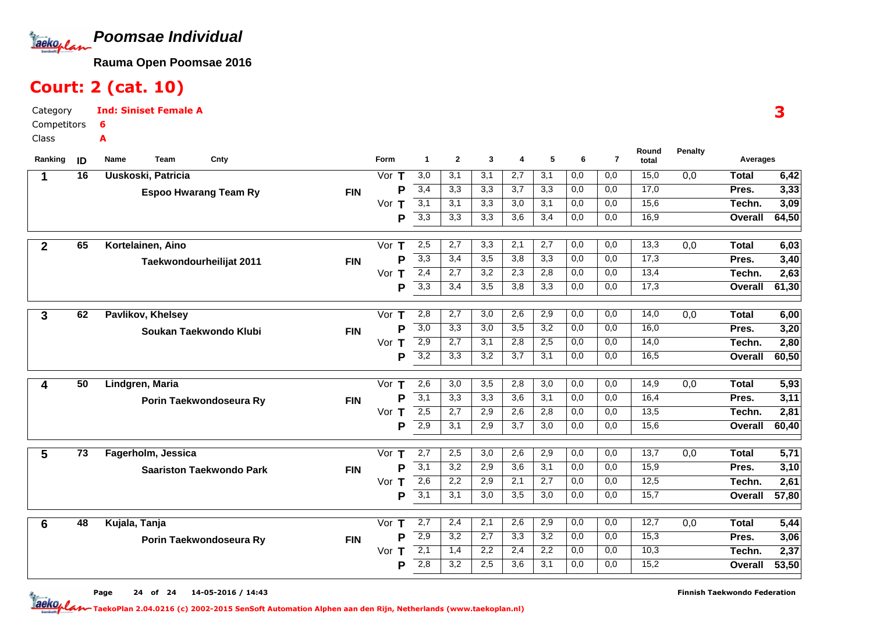

# Court: 2 (cat. 10)

Category CompetitorsClassInd: Siniset Female A6A

| Ranking        | ID              | Team<br>Cnty<br>Name            |            | <b>Form</b>        | $\blacktriangleleft$ | $\mathbf{2}$ | 3                | 4                | 5   | 6   | $\overline{7}$ | Round<br>total | <b>Penalty</b>   | Averages        |              |
|----------------|-----------------|---------------------------------|------------|--------------------|----------------------|--------------|------------------|------------------|-----|-----|----------------|----------------|------------------|-----------------|--------------|
| 1              | 16              | Uuskoski, Patricia              |            | Vor $T$            | 3,0                  | 3,1          | 3,1              | 2,7              | 3,1 | 0,0 | 0,0            | 15,0           | $\overline{0,0}$ | <b>Total</b>    | 6,42         |
|                |                 | <b>Espoo Hwarang Team Ry</b>    | <b>FIN</b> | Þ                  | 3,4                  | 3,3          | 3,3              | 3,7              | 3,3 | 0,0 | 0,0            | 17,0           |                  | Pres.           | 3,33         |
|                |                 |                                 |            | Vor<br>т           | $\overline{3,1}$     | 3,1          | 3,3              | 3,0              | 3,1 | 0,0 | 0,0            | 15,6           |                  | Techn.          | 3,09         |
|                |                 |                                 |            | P                  | $\overline{3,3}$     | 3,3          | 3,3              | 3,6              | 3,4 | 0,0 | 0,0            | 16,9           |                  | Overall         | 64,50        |
|                | 65              | Kortelainen, Aino               |            | Vor                | 2,5                  | 2,7          | 3,3              | 2,1              | 2,7 | 0,0 | 0,0            | 13,3           | 0,0              | <b>Total</b>    |              |
| $\overline{2}$ |                 |                                 |            | т<br>P             | 3,3                  | 3,4          | 3,5              | 3,8              | 3,3 | 0,0 | 0,0            | 17,3           |                  | Pres.           | 6,03<br>3,40 |
|                |                 | Taekwondourheilijat 2011        | <b>FIN</b> | Vor<br>т           | 2,4                  | 2.7          | 3,2              | 2,3              | 2,8 | 0,0 | 0,0            | 13,4           |                  | Techn.          | 2,63         |
|                |                 |                                 |            | P                  | 3,3                  | 3,4          | 3,5              | 3,8              | 3,3 | 0,0 | 0,0            | 17,3           |                  | Overall         | 61,30        |
|                |                 |                                 |            |                    |                      |              |                  |                  |     |     |                |                |                  |                 |              |
| 3              | 62              | <b>Pavlikov, Khelsey</b>        |            | Vor<br>т           | 2,8                  | 2,7          | 3,0              | 2,6              | 2,9 | 0,0 | 0,0            | 14,0           | 0,0              | <b>Total</b>    | 6,00         |
|                |                 | Soukan Taekwondo Klubi          | <b>FIN</b> | P                  | 3,0                  | 3,3          | 3,0              | 3,5              | 3,2 | 0,0 | 0,0            | 16,0           |                  | Pres.           | 3,20         |
|                |                 |                                 |            | Vor $T$            | 2,9                  | 2,7          | 3,1              | 2,8              | 2,5 | 0,0 | 0,0            | 14,0           |                  | Techn.          | 2,80         |
|                |                 |                                 |            | P                  | $\overline{3,2}$     | 3,3          | $\overline{3,2}$ | 3,7              | 3,1 | 0,0 | 0,0            | 16,5           |                  | Overall         | 60,50        |
|                | 50              |                                 |            | Vor $T$            | 2,6                  | 3,0          | 3,5              | 2,8              | 3,0 | 0,0 | 0,0            | 14,9           |                  |                 |              |
| 4              |                 | Lindgren, Maria                 |            | P                  | 3,1                  | 3,3          | 3,3              | 3,6              | 3,1 | 0,0 | 0,0            | 16,4           | 0,0              | <b>Total</b>    | 5,93         |
|                |                 | Porin Taekwondoseura Ry         | <b>FIN</b> | Vor<br>$\mathbf T$ | 2,5                  | 2,7          | 2,9              | 2,6              | 2,8 | 0,0 | 0,0            | 13,5           |                  | Pres.<br>Techn. | 3,11<br>2,81 |
|                |                 |                                 |            | P                  | 2,9                  | 3,1          | 2,9              | 3,7              | 3,0 | 0,0 | 0,0            | 15,6           |                  | Overall         | 60,40        |
|                |                 |                                 |            |                    |                      |              |                  |                  |     |     |                |                |                  |                 |              |
| 5              | $\overline{73}$ | Fagerholm, Jessica              |            | Vor $T$            | 2,7                  | 2,5          | 3,0              | 2,6              | 2,9 | 0,0 | 0,0            | 13,7           | 0,0              | <b>Total</b>    | 5,71         |
|                |                 | <b>Saariston Taekwondo Park</b> | <b>FIN</b> | P                  | 3,1                  | 3,2          | 2,9              | 3,6              | 3,1 | 0,0 | 0,0            | 15,9           |                  | Pres.           | 3,10         |
|                |                 |                                 |            | Vor T              | 2,6                  | 2,2          | 2,9              | 2,1              | 2,7 | 0,0 | 0,0            | 12,5           |                  | Techn.          | 2,61         |
|                |                 |                                 |            | P                  | 3,1                  | 3,1          | 3,0              | 3,5              | 3,0 | 0,0 | 0,0            | 15,7           |                  | Overall         | 57,80        |
| $6\phantom{1}$ | 48              | Kujala, Tanja                   |            | Vor<br>т           | 2,7                  | 2,4          | 2,1              | 2,6              | 2,9 | 0,0 | 0,0            | 12,7           | 0,0              | <b>Total</b>    | 5,44         |
|                |                 |                                 | <b>FIN</b> | P                  | 2,9                  | 3,2          | $\overline{2,7}$ | 3,3              | 3,2 | 0,0 | 0,0            | 15,3           |                  | Pres.           | 3,06         |
|                |                 | Porin Taekwondoseura Ry         |            | Т<br>Vor           | $\overline{2,1}$     | 1,4          | 2,2              | 2,4              | 2,2 | 0,0 | 0,0            | 10,3           |                  | Techn.          | 2,37         |
|                |                 |                                 |            | P                  | 2,8                  | 3,2          | 2,5              | $\overline{3,6}$ | 3,1 | 0,0 | 0,0            | 15,2           |                  | Overall         | 53,50        |
|                |                 |                                 |            |                    |                      |              |                  |                  |     |     |                |                |                  |                 |              |

Page 24 of 24 14-05-2016 / 14:43 24 of 24 14-05-2016 / 14:4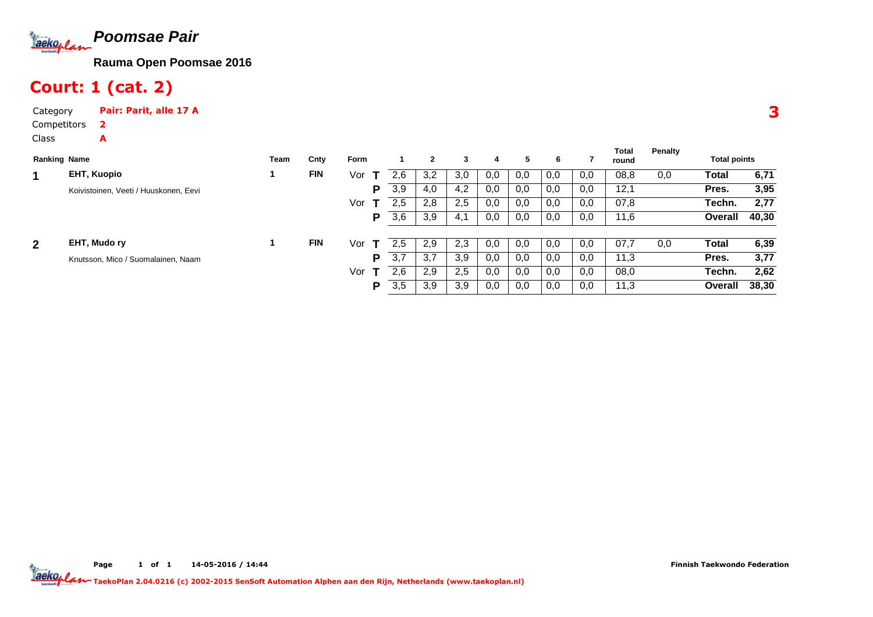

## Court: 1 (cat. 2)

Category Pair: Parit, alle 17 ACompetitorsClass2A

|              |                                       |      |            |      |     |     |     |     |     |     |     | Total | Penalty |                     |       |
|--------------|---------------------------------------|------|------------|------|-----|-----|-----|-----|-----|-----|-----|-------|---------|---------------------|-------|
|              | <b>Ranking Name</b>                   | Team | Cnty       | Form |     |     | 3   | 4   | 5   | 6   |     | round |         | <b>Total points</b> |       |
| 1            | EHT, Kuopio                           |      | <b>FIN</b> | Vor  | 2.6 | 3,2 | 3,0 | 0,0 | 0,0 | 0,0 | 0,0 | 08,8  | 0,0     | Total               | 6,71  |
|              | Koivistoinen, Veeti / Huuskonen, Eevi |      |            | P    | 3,9 | 4,0 | 4,2 | 0,0 | 0,0 | 0,0 | 0,0 | 12,1  |         | Pres.               | 3,95  |
|              |                                       |      |            | Vor  | 2.5 | 2,8 | 2.5 | 0,0 | 0,0 | 0,0 | 0,0 | 07,8  |         | Techn.              | 2,77  |
|              |                                       |      |            | P    | 3,6 | 3,9 | 4.1 | 0,0 | 0,0 | 0,0 | 0,0 | 11,6  |         | Overall             | 40,30 |
|              |                                       |      |            |      |     |     |     |     |     |     |     |       |         |                     |       |
| $\mathbf{2}$ | EHT, Mudo ry                          |      | <b>FIN</b> | Vor  | 2.5 | 2,9 | 2,3 | 0,0 | 0,0 | 0,0 | 0,0 | 07.7  | 0,0     | Total               | 6,39  |
|              | Knutsson, Mico / Suomalainen, Naam    |      |            | Р    | 3,7 | 3,7 | 3,9 | 0,0 | 0,0 | 0,0 | 0,0 | 11,3  |         | Pres.               | 3,77  |
|              |                                       |      |            | Vor  | 2.6 | 2,9 | 2,5 | 0,0 | 0,0 | 0,0 | 0,0 | 08,0  |         | Techn.              | 2,62  |
|              |                                       |      |            | P    | 3,5 | 3,9 | 3,9 | 0,0 | 0,0 | 0,0 | 0,0 | 11,3  |         | <b>Overall</b>      | 38,30 |

Page 1 of 1 14-05-2016 / 14:44 TaekoPlan 2.04.0216 (c) 2002-2015 SenSoft Automation Alphen aan den Rijn, Netherlands (www.taekoplan.nl)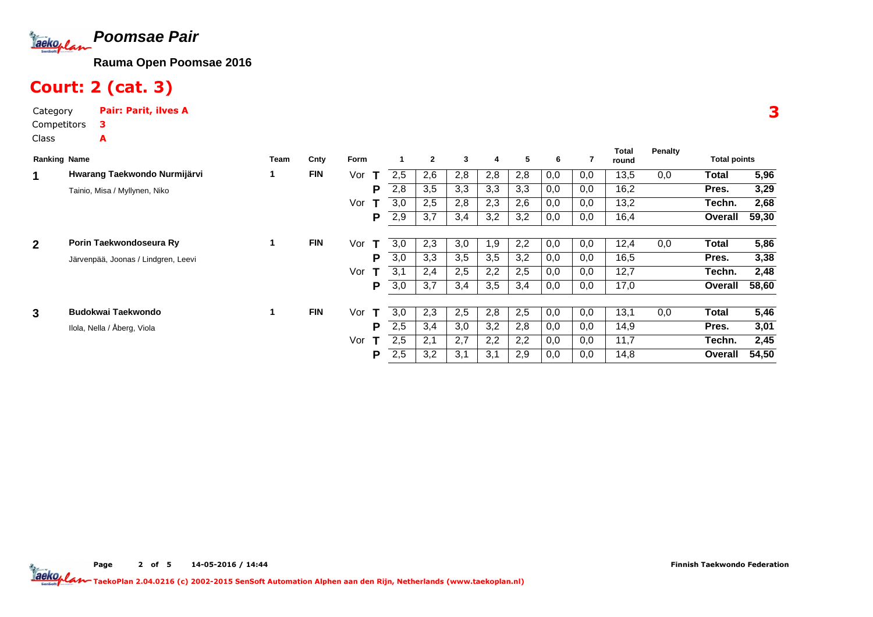

# Court: 2 (cat. 3)

| Category    | <b>Pair: Parit, ilves A</b> |
|-------------|-----------------------------|
| Competitors | з                           |
| Class       | А                           |

|              | <b>Ranking Name</b>                 |    | Cnty       | Form     |     | $\mathbf{2}$ | 3   | 4   | 5   | 6   | 7   | Total<br>round | Penalty | <b>Total points</b> |       |
|--------------|-------------------------------------|----|------------|----------|-----|--------------|-----|-----|-----|-----|-----|----------------|---------|---------------------|-------|
| 1            | Hwarang Taekwondo Nurmijärvi        |    | <b>FIN</b> | Vor<br>Т | 2,5 | 2,6          | 2,8 | 2,8 | 2,8 | 0,0 | 0,0 | 13,5           | 0,0     | Total               | 5,96  |
|              | Tainio, Misa / Myllynen, Niko       |    |            | Р        | 2,8 | 3,5          | 3,3 | 3,3 | 3,3 | 0,0 | 0,0 | 16,2           |         | Pres.               | 3,29  |
|              |                                     |    |            | Vor      | 3,0 | 2,5          | 2,8 | 2,3 | 2,6 | 0,0 | 0,0 | 13,2           |         | Techn.              | 2,68  |
|              |                                     |    |            | Р        | 2,9 | 3,7          | 3,4 | 3,2 | 3,2 | 0,0 | 0,0 | 16,4           |         | Overall             | 59,30 |
|              |                                     |    |            |          |     |              |     |     |     |     |     |                |         |                     |       |
| $\mathbf{2}$ | Porin Taekwondoseura Ry             | 1. | <b>FIN</b> | Vor<br>т | 3.0 | 2,3          | 3,0 | 1,9 | 2,2 | 0,0 | 0,0 | 12,4           | 0,0     | <b>Total</b>        | 5,86  |
|              | Järvenpää, Joonas / Lindgren, Leevi |    |            | Р        | 3,0 | 3,3          | 3,5 | 3,5 | 3,2 | 0,0 | 0,0 | 16,5           |         | Pres.               | 3,38  |
|              |                                     |    |            | Vor      | 3.1 | 2,4          | 2,5 | 2,2 | 2,5 | 0,0 | 0,0 | 12,7           |         | Techn.              | 2,48  |
|              |                                     |    |            | Р        | 3,0 | 3,7          | 3,4 | 3,5 | 3,4 | 0,0 | 0,0 | 17,0           |         | Overall             | 58,60 |
|              |                                     |    |            |          |     |              |     |     |     |     |     |                |         |                     |       |
| 3            | Budokwai Taekwondo                  | 1. | <b>FIN</b> | Vor<br>т | 3,0 | 2,3          | 2,5 | 2,8 | 2,5 | 0,0 | 0,0 | 13,1           | 0,0     | Total               | 5,46  |
|              | Ilola, Nella / Åberg, Viola         |    |            | Р        | 2,5 | 3,4          | 3,0 | 3,2 | 2,8 | 0,0 | 0,0 | 14,9           |         | Pres.               | 3,01  |
|              |                                     |    |            | Vor      | 2,5 | 2,1          | 2,7 | 2,2 | 2,2 | 0,0 | 0,0 | 11,7           |         | Techn.              | 2,45  |
|              |                                     |    |            | Р        | 2,5 | 3,2          | 3,1 | 3,1 | 2,9 | 0,0 | 0,0 | 14,8           |         | Overall             | 54,50 |

3

**Total**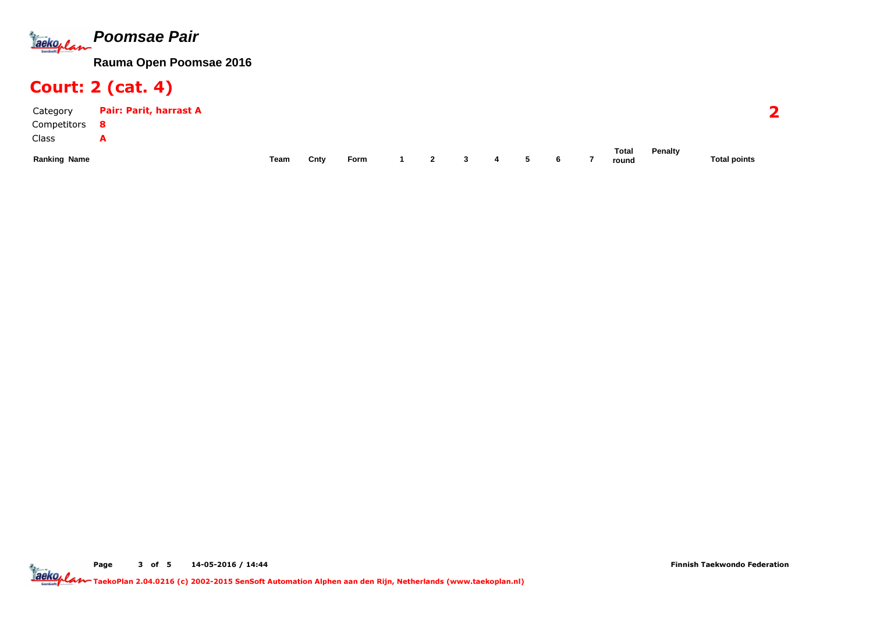

# Court: 2 (cat. 4)

| Category            | Pair: Parit, harrast A |      |      |      |              |   |   |   |                       |         | $\rightarrow$       |
|---------------------|------------------------|------|------|------|--------------|---|---|---|-----------------------|---------|---------------------|
| Competitors         |                        |      |      |      |              |   |   |   |                       |         |                     |
| Class               | A                      |      |      |      |              |   |   |   |                       |         |                     |
| <b>Ranking Name</b> |                        | Team | Cnty | Form | $\mathbf{2}$ | 3 | 4 | 6 | <b>Total</b><br>round | Penalty | <b>Total points</b> |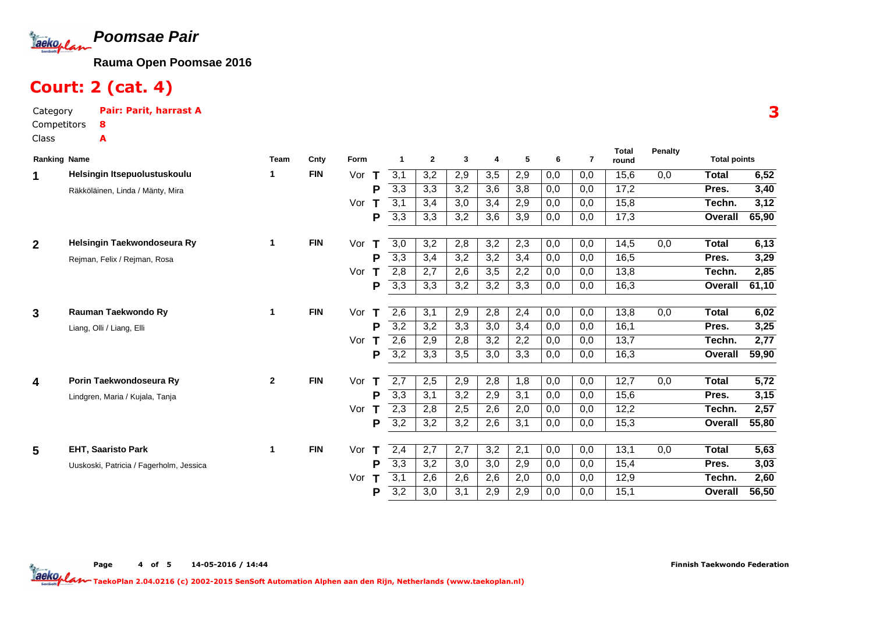

# Court: 2 (cat. 4)

Category Pair: Parit, harrast ACompetitorsClass8A

|                     |                                         |              |            |          |                  |                  |                  |                         |     |     |                | <b>Total</b> | <b>Penalty</b> |                     |                   |
|---------------------|-----------------------------------------|--------------|------------|----------|------------------|------------------|------------------|-------------------------|-----|-----|----------------|--------------|----------------|---------------------|-------------------|
| <b>Ranking Name</b> |                                         | <b>Team</b>  | Cnty       | Form     |                  | $\mathbf{2}$     | 3                | $\overline{\mathbf{4}}$ | 5   | 6   | $\overline{7}$ | round        |                | <b>Total points</b> |                   |
| 1                   | Helsingin Itsepuolustuskoulu            | 1.           | <b>FIN</b> | Vor<br>T | 3,1              | 3,2              | 2,9              | 3,5                     | 2,9 | 0,0 | 0,0            | 15,6         | 0,0            | <b>Total</b>        | 6,52              |
|                     | Räkköläinen, Linda / Mänty, Mira        |              |            | P        | $\overline{3,3}$ | 3,3              | 3,2              | 3,6                     | 3,8 | 0,0 | 0,0            | 17,2         |                | Pres.               | 3,40              |
|                     |                                         |              |            | Vor<br>т | 3,1              | 3,4              | 3,0              | 3,4                     | 2,9 | 0,0 | 0,0            | 15,8         |                | Techn.              | 3,12              |
|                     |                                         |              |            | P        | 3,3              | 3,3              | 3,2              | 3,6                     | 3,9 | 0,0 | 0,0            | 17,3         |                | Overall             | 65,90             |
| $\mathbf{2}$        | Helsingin Taekwondoseura Ry             | 1            | <b>FIN</b> | Vor<br>Т | 3,0              | 3,2              | 2,8              | 3,2                     | 2,3 | 0,0 | 0,0            | 14,5         | 0,0            | <b>Total</b>        | 6,13              |
|                     | Rejman, Felix / Rejman, Rosa            |              |            | P        | 3,3              | 3,4              | 3,2              | 3,2                     | 3,4 | 0,0 | 0,0            | 16,5         |                | Pres.               | 3,29              |
|                     |                                         |              |            | Vor      | 2,8              | 2,7              | 2,6              | 3,5                     | 2,2 | 0,0 | 0,0            | 13,8         |                | Techn.              | 2,85              |
|                     |                                         |              |            | P        | 3,3              | 3,3              | 3,2              | 3,2                     | 3,3 | 0,0 | 0,0            | 16,3         |                | Overall             | 61,10             |
|                     |                                         |              |            |          |                  |                  |                  |                         |     |     |                |              |                |                     |                   |
| 3                   | Rauman Taekwondo Ry                     | 1            | <b>FIN</b> | Vor      | 2,6              | 3,1              | 2,9              | 2,8                     | 2,4 | 0,0 | 0,0            | 13,8         | 0,0            | Total               | 6,02              |
|                     | Liang, Olli / Liang, Elli               |              |            | P        | $\overline{3,2}$ | 3,2              | 3,3              | 3,0                     | 3,4 | 0,0 | 0,0            | 16,1         |                | Pres.               | 3,25              |
|                     |                                         |              |            | Vor      | 2,6              | 2,9              | 2,8              | 3,2                     | 2,2 | 0,0 | 0,0            | 13,7         |                | Techn.              | 2,77              |
|                     |                                         |              |            | P        | $\overline{3,2}$ | 3,3              | 3,5              | 3,0                     | 3,3 | 0,0 | 0,0            | 16,3         |                | Overall             | 59,90             |
|                     |                                         |              |            |          |                  |                  |                  |                         |     |     |                |              |                |                     |                   |
| 4                   | Porin Taekwondoseura Ry                 | $\mathbf{2}$ | <b>FIN</b> | Vor<br>т | 2,7              | 2,5              | 2,9              | 2,8                     | 1,8 | 0,0 | 0,0            | 12,7         | 0,0            | <b>Total</b>        | $\overline{5,72}$ |
|                     | Lindgren, Maria / Kujala, Tanja         |              |            | P        | 3,3              | 3,1              | 3,2              | 2,9                     | 3,1 | 0,0 | 0,0            | 15,6         |                | Pres.               | 3,15              |
|                     |                                         |              |            | Vor      | $\overline{2,3}$ | 2,8              | 2,5              | 2,6                     | 2,0 | 0,0 | 0,0            | 12,2         |                | Techn.              | 2,57              |
|                     |                                         |              |            | P        | $\overline{3,2}$ | $\overline{3,2}$ | $\overline{3,2}$ | 2,6                     | 3,1 | 0,0 | 0,0            | 15,3         |                | Overall             | 55,80             |
| 5                   | <b>EHT, Saaristo Park</b>               | 1            | <b>FIN</b> | Vor      | 2,4              | $\overline{2,7}$ | $\overline{2,7}$ | $\overline{3,2}$        | 2,1 | 0,0 | 0,0            | 13,1         | 0,0            | Total               | 5,63              |
|                     |                                         |              |            | P        | $\overline{3,3}$ | 3,2              | 3,0              | 3,0                     | 2,9 | 0,0 | 0,0            | 15,4         |                | Pres.               | 3,03              |
|                     | Uuskoski, Patricia / Fagerholm, Jessica |              |            |          |                  |                  |                  |                         |     |     |                |              |                |                     |                   |
|                     |                                         |              |            | Vor      | 3,1              | 2,6              | 2,6              | 2,6                     | 2,0 | 0,0 | 0,0            | 12,9         |                | Techn.              | 2,60              |
|                     |                                         |              |            | P        | 3,2              | 3,0              | 3,1              | 2,9                     | 2,9 | 0,0 | 0,0            | 15,1         |                | Overall             | 56,50             |

3

**Total**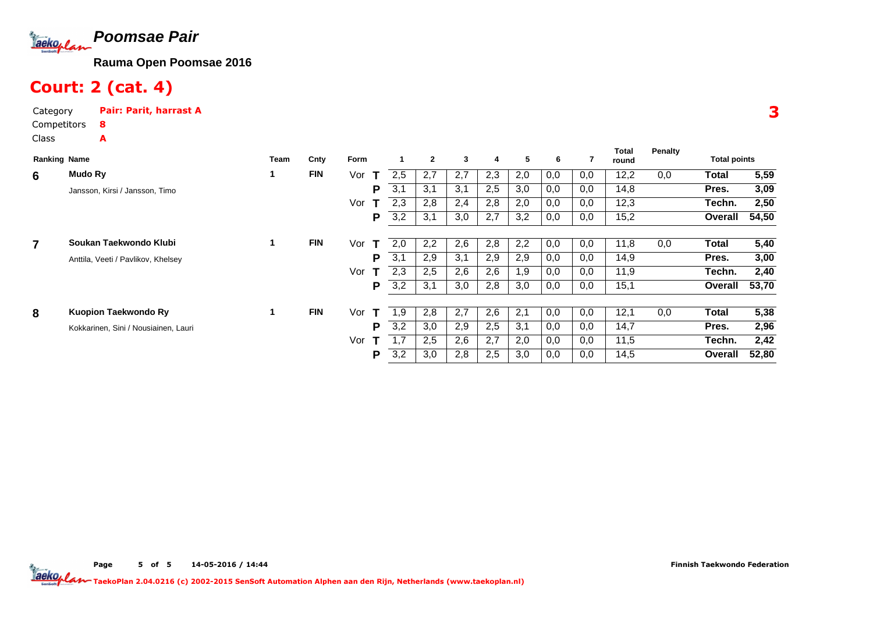

# Court: 2 (cat. 4)

| Category    | Pair: Parit, harrast A |
|-------------|------------------------|
| Competitors | 8                      |
| Class       | Δ                      |

| <b>Ranking Name</b> |                                      | Team | Cnty       | Form |     | $\mathbf{2}$ | 3   | 4   | 5   | 6   |     | Total<br>round | Penalty | <b>Total points</b> |       |
|---------------------|--------------------------------------|------|------------|------|-----|--------------|-----|-----|-----|-----|-----|----------------|---------|---------------------|-------|
| 6                   | Mudo Ry                              |      | <b>FIN</b> | Vor  | 2.5 | 2,7          | 2.7 | 2,3 | 2,0 | 0,0 | 0,0 | 12,2           | 0,0     | Total               | 5,59  |
|                     | Jansson, Kirsi / Jansson, Timo       |      |            | P    | 3,1 | 3,1          | 3,1 | 2,5 | 3,0 | 0,0 | 0,0 | 14,8           |         | Pres.               | 3,09  |
|                     |                                      |      |            | Vor  | 2,3 | 2,8          | 2,4 | 2,8 | 2,0 | 0,0 | 0,0 | 12,3           |         | Techn.              | 2,50  |
|                     |                                      |      |            | P    | 3,2 | 3,1          | 3,0 | 2,7 | 3,2 | 0,0 | 0,0 | 15,2           |         | Overall             | 54,50 |
| $\overline{7}$      | Soukan Taekwondo Klubi               |      | <b>FIN</b> | Vor  | 2,0 | 2,2          | 2,6 | 2,8 | 2,2 | 0,0 | 0,0 | 11,8           | 0,0     | Total               | 5,40  |
|                     | Anttila, Veeti / Pavlikov, Khelsey   |      |            | P    | 3,1 | 2,9          | 3,1 | 2,9 | 2,9 | 0,0 | 0,0 | 14,9           |         | Pres.               | 3,00  |
|                     |                                      |      |            | Vor  | 2,3 | 2,5          | 2,6 | 2,6 | 1,9 | 0,0 | 0,0 | 11,9           |         | Techn.              | 2,40  |
|                     |                                      |      |            | P    | 3,2 | 3,1          | 3,0 | 2,8 | 3,0 | 0,0 | 0,0 | 15,1           |         | Overall             | 53,70 |
|                     |                                      |      |            |      |     |              |     |     |     |     |     |                |         |                     |       |
| 8                   | Kuopion Taekwondo Ry                 |      | <b>FIN</b> | Vor  | 1,9 | 2,8          | 2,7 | 2,6 | 2,1 | 0,0 | 0,0 | 12,1           | 0,0     | Total               | 5,38  |
|                     | Kokkarinen, Sini / Nousiainen, Lauri |      |            | P    | 3,2 | 3,0          | 2,9 | 2,5 | 3,1 | 0,0 | 0,0 | 14,7           |         | Pres.               | 2,96  |
|                     |                                      |      |            | Vor  | 1.7 | 2,5          | 2,6 | 2,7 | 2,0 | 0,0 | 0,0 | 11,5           |         | Techn.              | 2,42  |
|                     |                                      |      |            | P    | 3,2 | 3,0          | 2,8 | 2,5 | 3,0 | 0,0 | 0,0 | 14,5           |         | Overall             | 52,80 |

3

**Total**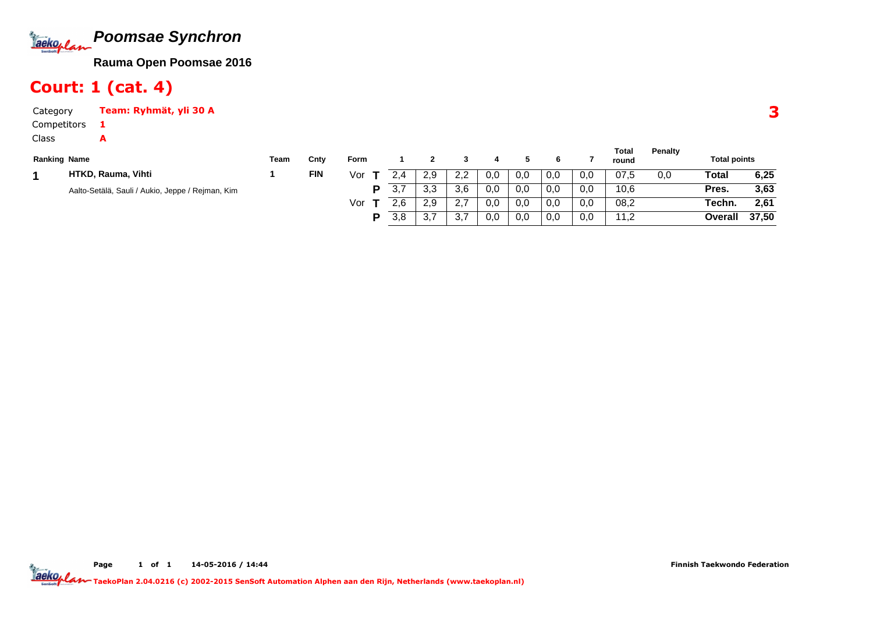

## Court: 1 (cat. 4)

A

Category Team: Ryhmät, yli 30 A1

Competitors

Class

| <b>Ranking Name</b> |                                                  | Team | Cnty       | <b>Form</b> |     |     |         |     |     |     |     | Total<br>round | <b>Penalty</b> | <b>Total points</b> |       |
|---------------------|--------------------------------------------------|------|------------|-------------|-----|-----|---------|-----|-----|-----|-----|----------------|----------------|---------------------|-------|
|                     | HTKD, Rauma, Vihti                               |      | <b>FIN</b> | Vor         |     | 2.9 | 2.2     | 0,0 | 0,0 | 0,0 | 0,0 | 07.5           | 0,0            | Total               | 6,25  |
|                     | Aalto-Setälä, Sauli / Aukio, Jeppe / Rejman, Kim |      |            | D           | 3,7 | 3,3 | 3,6     | 0,0 | 0,0 | 0,0 | 0,0 | 10,6           |                | Pres.               | 3,63  |
|                     |                                                  |      |            | Vor         | 2.6 | 2.9 | <u></u> | 0,0 | 0.0 | 0,0 | 0,0 | 08,2           |                | Techn.              | 2.61  |
|                     |                                                  |      |            | D           | 3,8 | 3,7 | ັ.      | 0,0 | 0,0 | 0,0 | 0,0 | 11,2           |                | Overall             | 37,50 |

**Total**